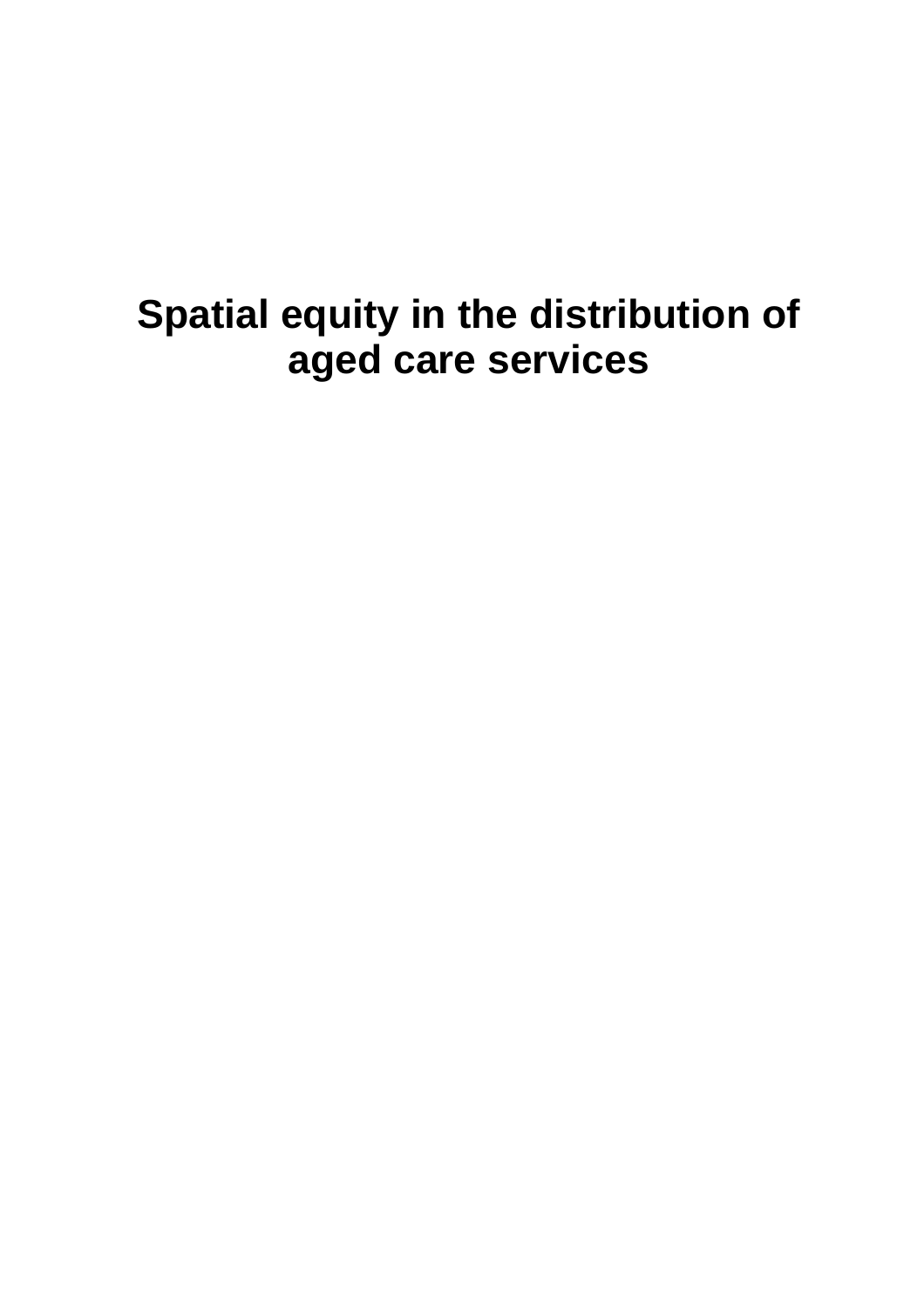# **Spatial equity in the distribution of aged care services**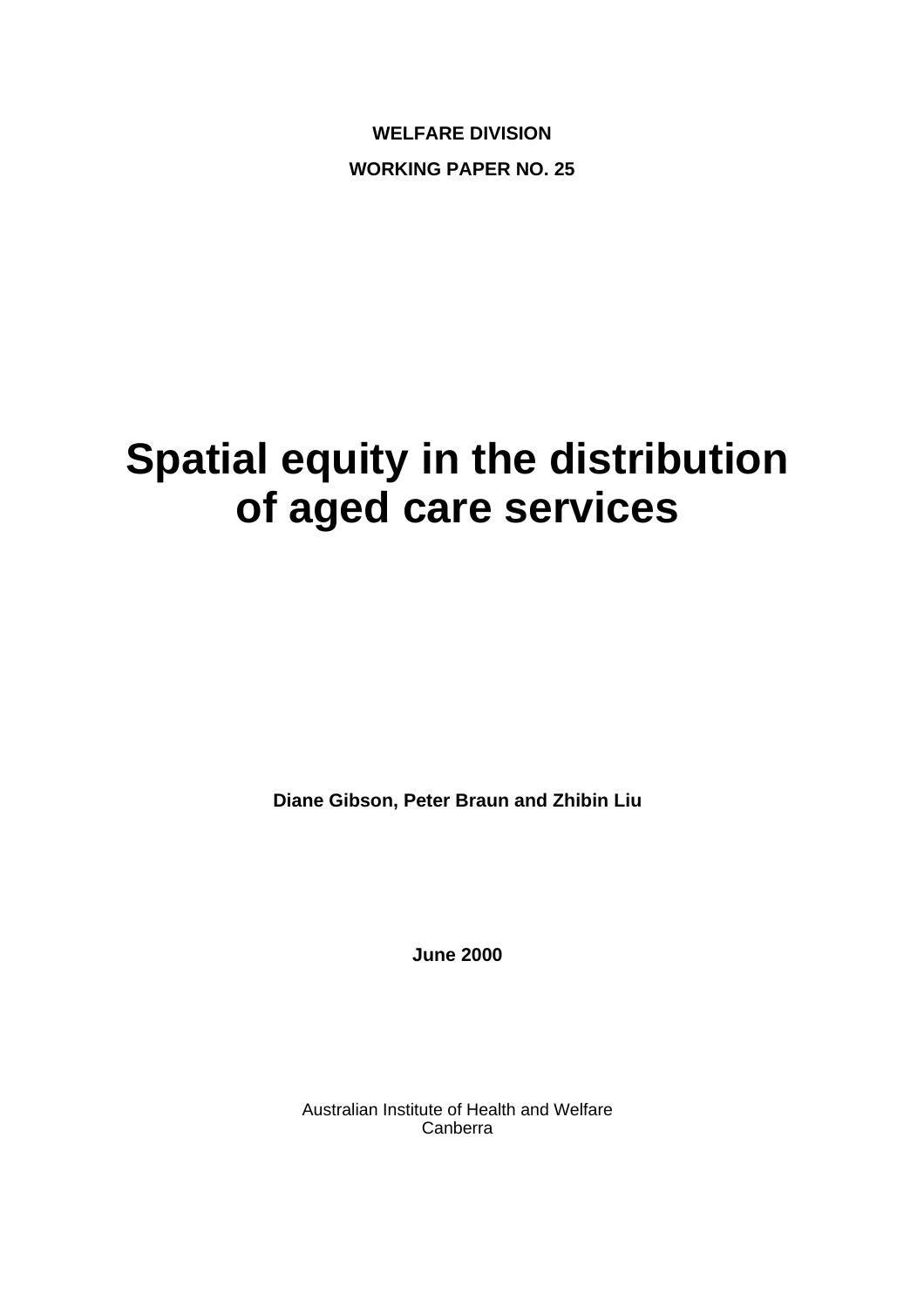**WELFARE DIVISION WORKING PAPER NO. 25** 

# **Spatial equity in the distribution of aged care services**

**Diane Gibson, Peter Braun and Zhibin Liu** 

**June 2000** 

Australian Institute of Health and Welfare Canberra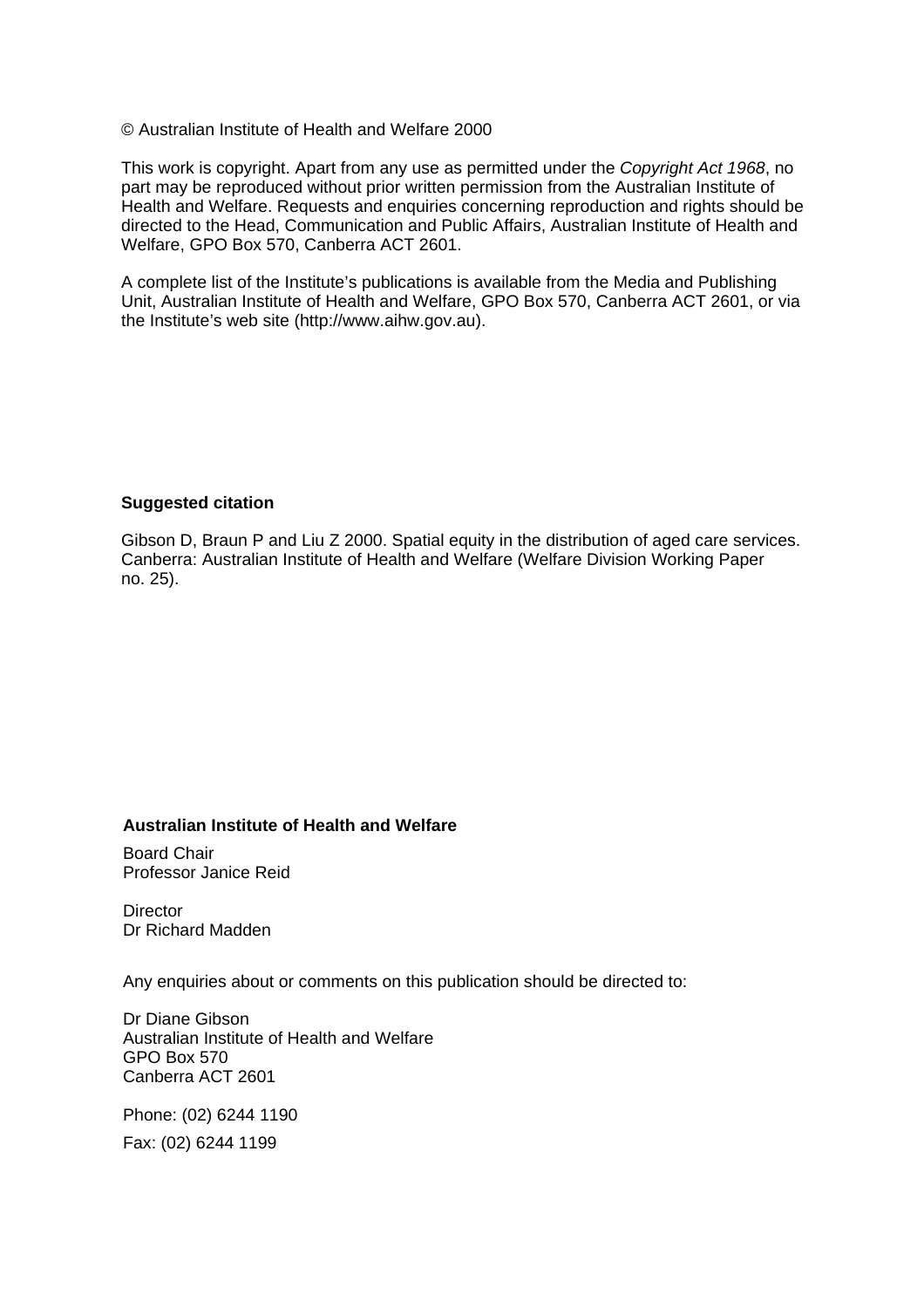© Australian Institute of Health and Welfare 2000

This work is copyright. Apart from any use as permitted under the *Copyright Act 1968*, no part may be reproduced without prior written permission from the Australian Institute of Health and Welfare. Requests and enquiries concerning reproduction and rights should be directed to the Head, Communication and Public Affairs, Australian Institute of Health and Welfare, GPO Box 570, Canberra ACT 2601.

A complete list of the Institute's publications is available from the Media and Publishing Unit, Australian Institute of Health and Welfare, GPO Box 570, Canberra ACT 2601, or via the Institute's web site (http://www.aihw.gov.au).

#### **Suggested citation**

**Suggested citation**  Canberra: Australian Institute of Health and Welfare (Welfare Division Working Paper  $A(10.25)$ ….  $A(20.25)$ ….  $B(20.25)$ …. Publisher… (Series title and number…). Gibson D, Braun P and Liu Z 2000. Spatial equity in the distribution of aged care services. no. 25).

#### **Australian Institute of Health and Welfare**

Board Chair Professor Janice Reid

**Director** Dr Richard Madden

Any enquiries about or comments on this publication should be directed to:

Dr Diane Gibson Australian Institute of Health and Welfare GPO Box 570 Canberra ACT 2601

Phone: (02) 6244 1190 Fax: (02) 6244 1199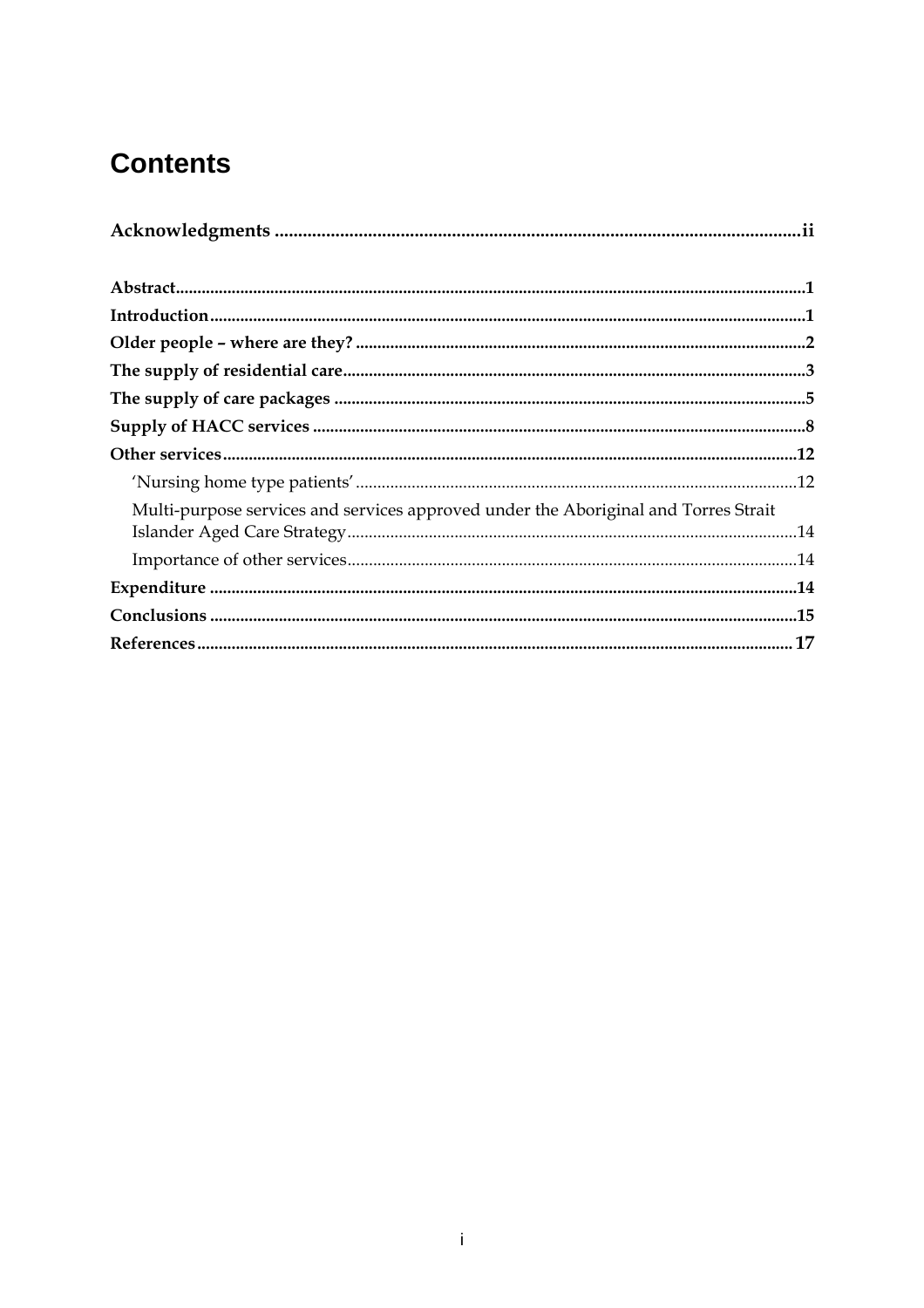# **Contents**

| Multi-purpose services and services approved under the Aboriginal and Torres Strait |  |
|-------------------------------------------------------------------------------------|--|
|                                                                                     |  |
|                                                                                     |  |
|                                                                                     |  |
|                                                                                     |  |
|                                                                                     |  |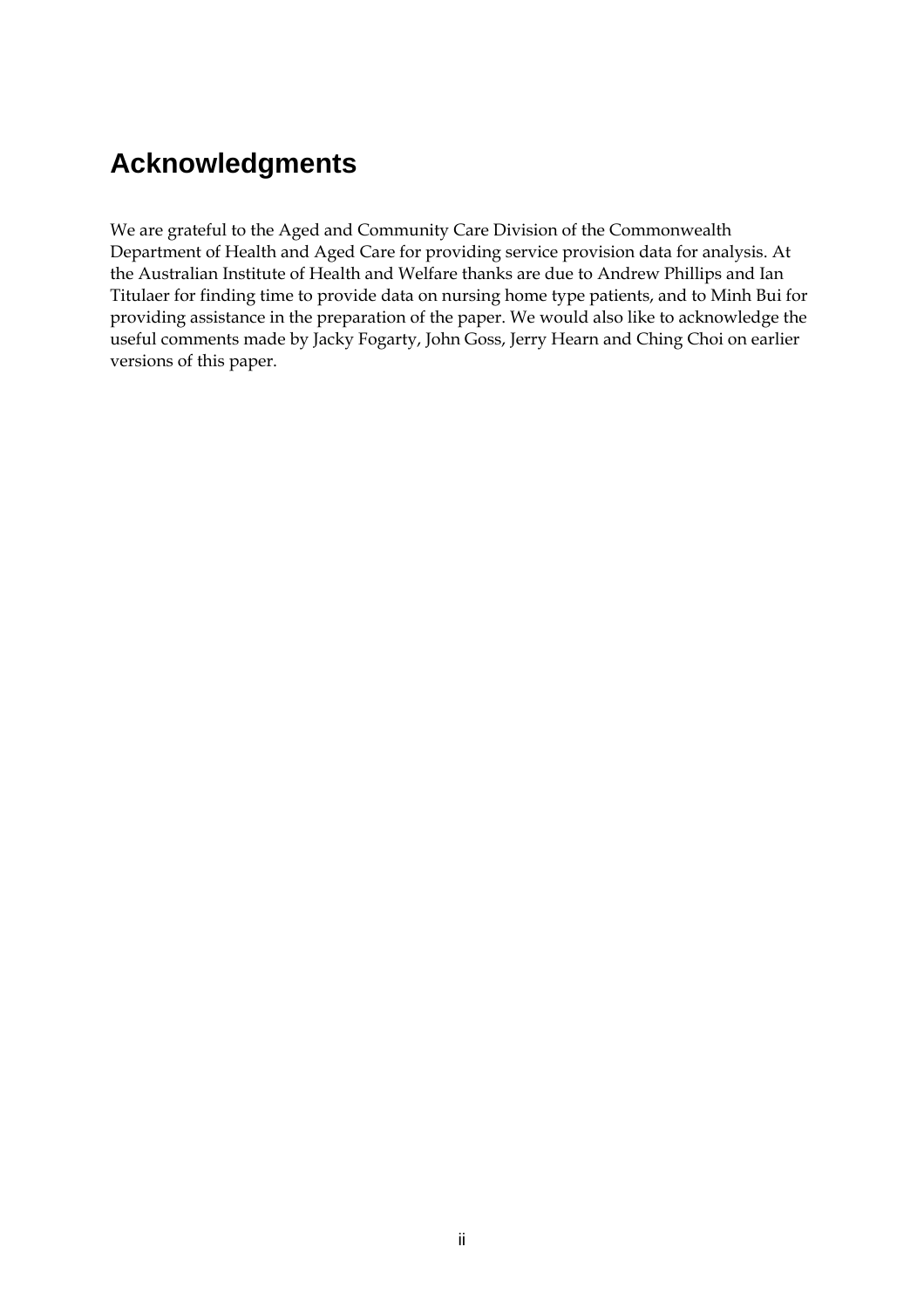# **Acknowledgments**

We are grateful to the Aged and Community Care Division of the Commonwealth Department of Health and Aged Care for providing service provision data for analysis. At the Australian Institute of Health and Welfare thanks are due to Andrew Phillips and Ian Titulaer for finding time to provide data on nursing home type patients, and to Minh Bui for providing assistance in the preparation of the paper. We would also like to acknowledge the useful comments made by Jacky Fogarty, John Goss, Jerry Hearn and Ching Choi on earlier versions of this paper.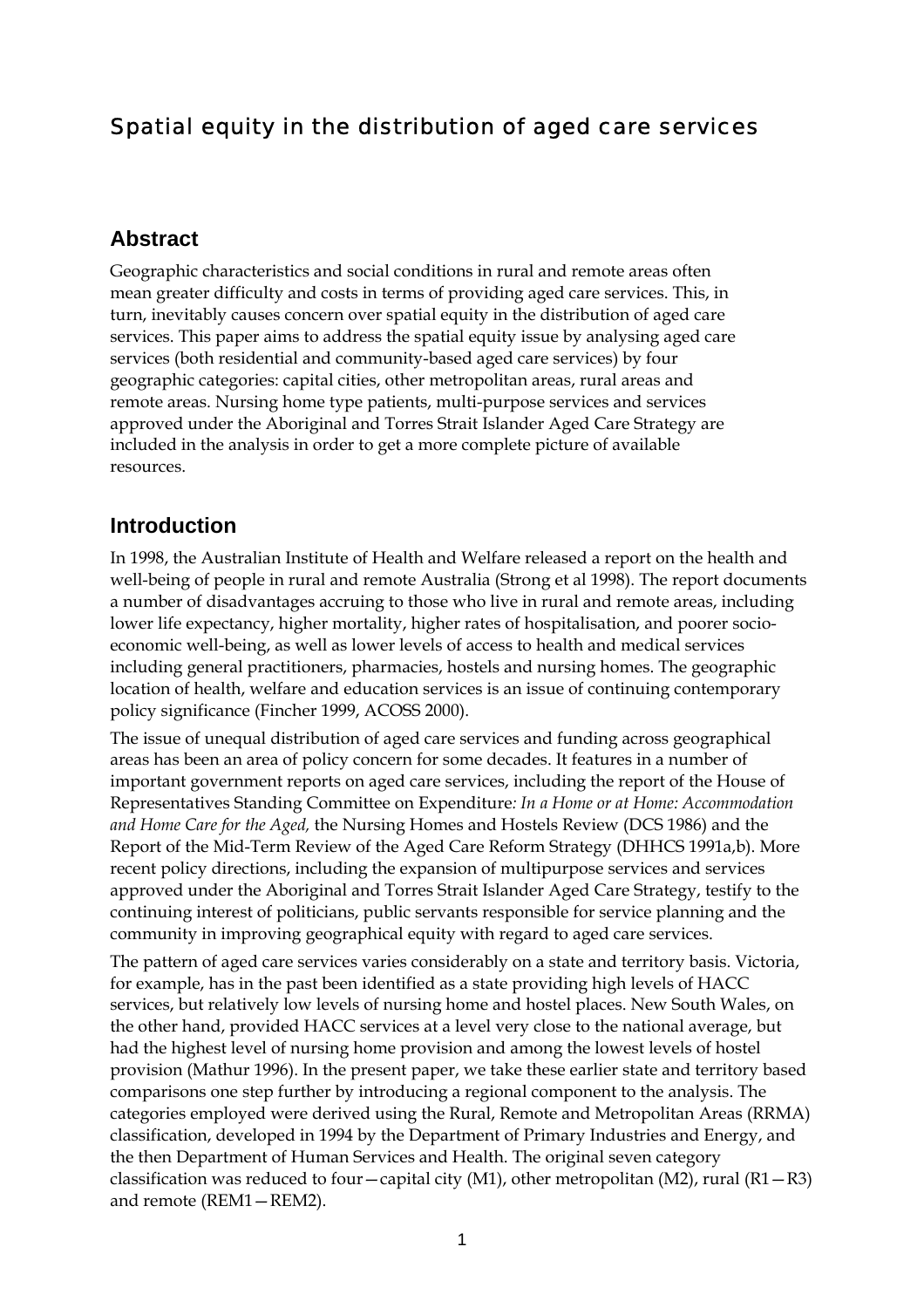# Spatial equity in the distribution of aged care services

#### **Abstract**

Geographic characteristics and social conditions in rural and remote areas often mean greater difficulty and costs in terms of providing aged care services. This, in turn, inevitably causes concern over spatial equity in the distribution of aged care services. This paper aims to address the spatial equity issue by analysing aged care services (both residential and community-based aged care services) by four geographic categories: capital cities, other metropolitan areas, rural areas and remote areas. Nursing home type patients, multi-purpose services and services approved under the Aboriginal and Torres Strait Islander Aged Care Strategy are included in the analysis in order to get a more complete picture of available resources.

#### **Introduction**

In 1998, the Australian Institute of Health and Welfare released a report on the health and well-being of people in rural and remote Australia (Strong et al 1998). The report documents a number of disadvantages accruing to those who live in rural and remote areas, including lower life expectancy, higher mortality, higher rates of hospitalisation, and poorer socioeconomic well-being, as well as lower levels of access to health and medical services including general practitioners, pharmacies, hostels and nursing homes. The geographic location of health, welfare and education services is an issue of continuing contemporary policy significance (Fincher 1999, ACOSS 2000).

The issue of unequal distribution of aged care services and funding across geographical areas has been an area of policy concern for some decades. It features in a number of important government reports on aged care services, including the report of the House of Representatives Standing Committee on Expenditure*: In a Home or at Home: Accommodation and Home Care for the Aged,* the Nursing Homes and Hostels Review (DCS 1986) and the Report of the Mid-Term Review of the Aged Care Reform Strategy (DHHCS 1991a,b). More recent policy directions, including the expansion of multipurpose services and services approved under the Aboriginal and Torres Strait Islander Aged Care Strategy, testify to the continuing interest of politicians, public servants responsible for service planning and the community in improving geographical equity with regard to aged care services.

The pattern of aged care services varies considerably on a state and territory basis. Victoria, for example, has in the past been identified as a state providing high levels of HACC services, but relatively low levels of nursing home and hostel places. New South Wales, on the other hand, provided HACC services at a level very close to the national average, but had the highest level of nursing home provision and among the lowest levels of hostel provision (Mathur 1996). In the present paper, we take these earlier state and territory based comparisons one step further by introducing a regional component to the analysis. The categories employed were derived using the Rural, Remote and Metropolitan Areas (RRMA) classification, developed in 1994 by the Department of Primary Industries and Energy, and the then Department of Human Services and Health. The original seven category classification was reduced to four—capital city (M1), other metropolitan (M2), rural (R1 $-$ R3) and remote (REM1—REM2).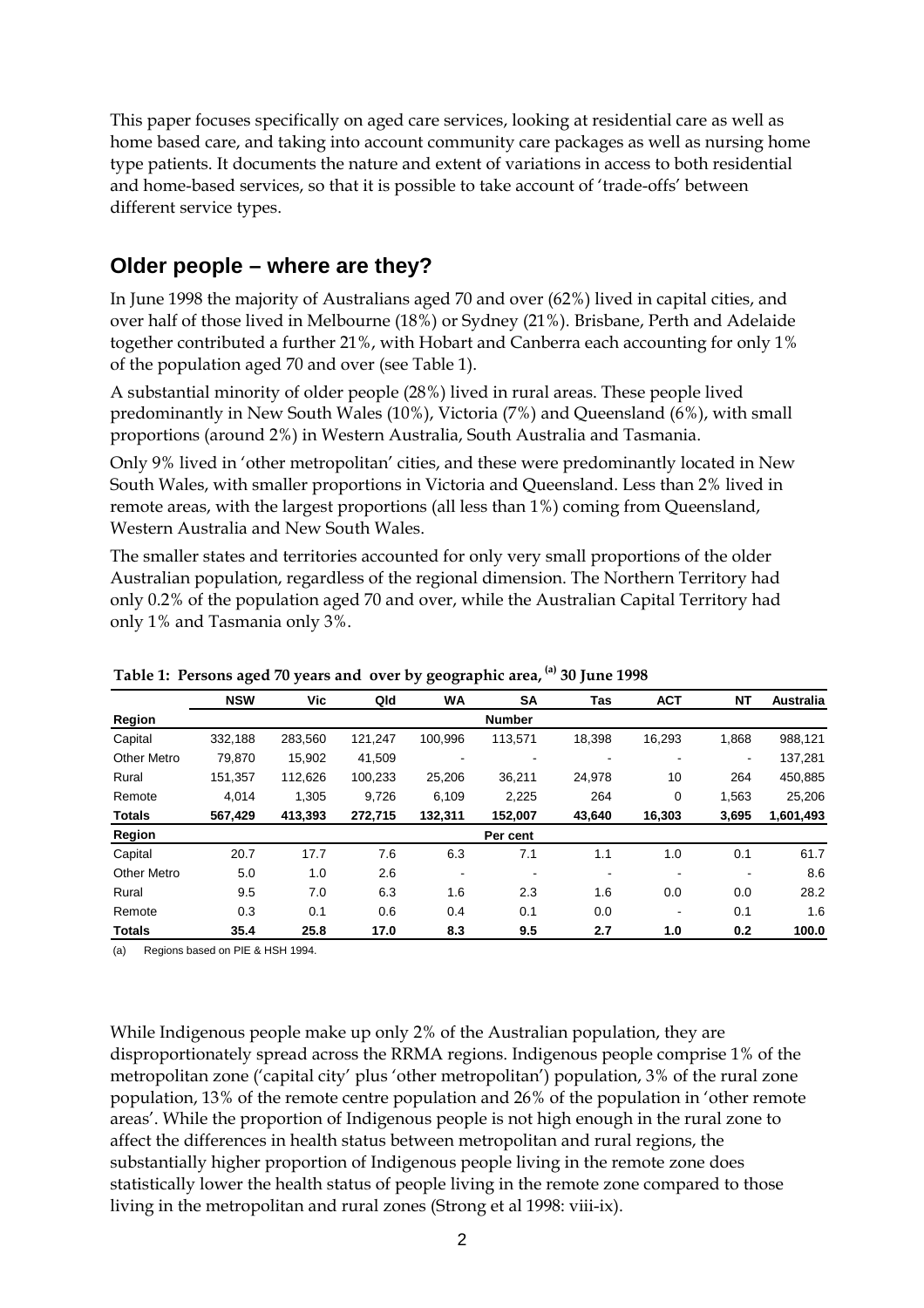This paper focuses specifically on aged care services, looking at residential care as well as home based care, and taking into account community care packages as well as nursing home type patients. It documents the nature and extent of variations in access to both residential and home-based services, so that it is possible to take account of 'trade-offs' between different service types.

## **Older people – where are they?**

In June 1998 the majority of Australians aged 70 and over (62%) lived in capital cities, and over half of those lived in Melbourne (18%) or Sydney (21%). Brisbane, Perth and Adelaide together contributed a further 21%, with Hobart and Canberra each accounting for only 1% of the population aged 70 and over (see Table 1).

A substantial minority of older people (28%) lived in rural areas. These people lived predominantly in New South Wales (10%), Victoria (7%) and Queensland (6%), with small proportions (around 2%) in Western Australia, South Australia and Tasmania.

Only 9% lived in 'other metropolitan' cities, and these were predominantly located in New South Wales, with smaller proportions in Victoria and Queensland. Less than 2% lived in remote areas, with the largest proportions (all less than 1%) coming from Queensland, Western Australia and New South Wales.

The smaller states and territories accounted for only very small proportions of the older Australian population, regardless of the regional dimension. The Northern Territory had only 0.2% of the population aged 70 and over, while the Australian Capital Territory had only 1% and Tasmania only 3%.

|                    | ັ          | ┙       |         | J O<br>ັ       | $\overline{1}$ | ◡      |            |                |                  |
|--------------------|------------|---------|---------|----------------|----------------|--------|------------|----------------|------------------|
|                    | <b>NSW</b> | Vic     | Qld     | WA             | <b>SA</b>      | Tas    | <b>ACT</b> | <b>NT</b>      | <b>Australia</b> |
| Region             |            |         |         |                | <b>Number</b>  |        |            |                |                  |
| Capital            | 332,188    | 283,560 | 121,247 | 100,996        | 113,571        | 18,398 | 16,293     | 1,868          | 988,121          |
| <b>Other Metro</b> | 79.870     | 15.902  | 41,509  | $\blacksquare$ |                |        |            | $\blacksquare$ | 137,281          |
| Rural              | 151,357    | 112,626 | 100,233 | 25,206         | 36,211         | 24,978 | 10         | 264            | 450,885          |
| Remote             | 4.014      | 1.305   | 9.726   | 6.109          | 2.225          | 264    | 0          | 1,563          | 25,206           |
| <b>Totals</b>      | 567,429    | 413,393 | 272.715 | 132,311        | 152,007        | 43,640 | 16,303     | 3,695          | 1,601,493        |
| Region             |            |         |         |                | Per cent       |        |            |                |                  |
| Capital            | 20.7       | 17.7    | 7.6     | 6.3            | 7.1            | 1.1    | 1.0        | 0.1            | 61.7             |
| <b>Other Metro</b> | 5.0        | 1.0     | 2.6     | $\blacksquare$ | ٠              |        |            | ۰              | 8.6              |
| Rural              | 9.5        | 7.0     | 6.3     | 1.6            | 2.3            | 1.6    | 0.0        | 0.0            | 28.2             |
| Remote             | 0.3        | 0.1     | 0.6     | 0.4            | 0.1            | 0.0    |            | 0.1            | 1.6              |
| <b>Totals</b>      | 35.4       | 25.8    | 17.0    | 8.3            | 9.5            | 2.7    | 1.0        | 0.2            | 100.0            |

**Table 1: Persons aged 70 years and over by geographic area, (a) 30 June 1998**

(a) Regions based on PIE & HSH 1994.

While Indigenous people make up only 2% of the Australian population, they are disproportionately spread across the RRMA regions. Indigenous people comprise 1% of the metropolitan zone ('capital city' plus 'other metropolitan') population, 3% of the rural zone population, 13% of the remote centre population and 26% of the population in 'other remote areas'. While the proportion of Indigenous people is not high enough in the rural zone to affect the differences in health status between metropolitan and rural regions, the substantially higher proportion of Indigenous people living in the remote zone does statistically lower the health status of people living in the remote zone compared to those living in the metropolitan and rural zones (Strong et al 1998: viii-ix).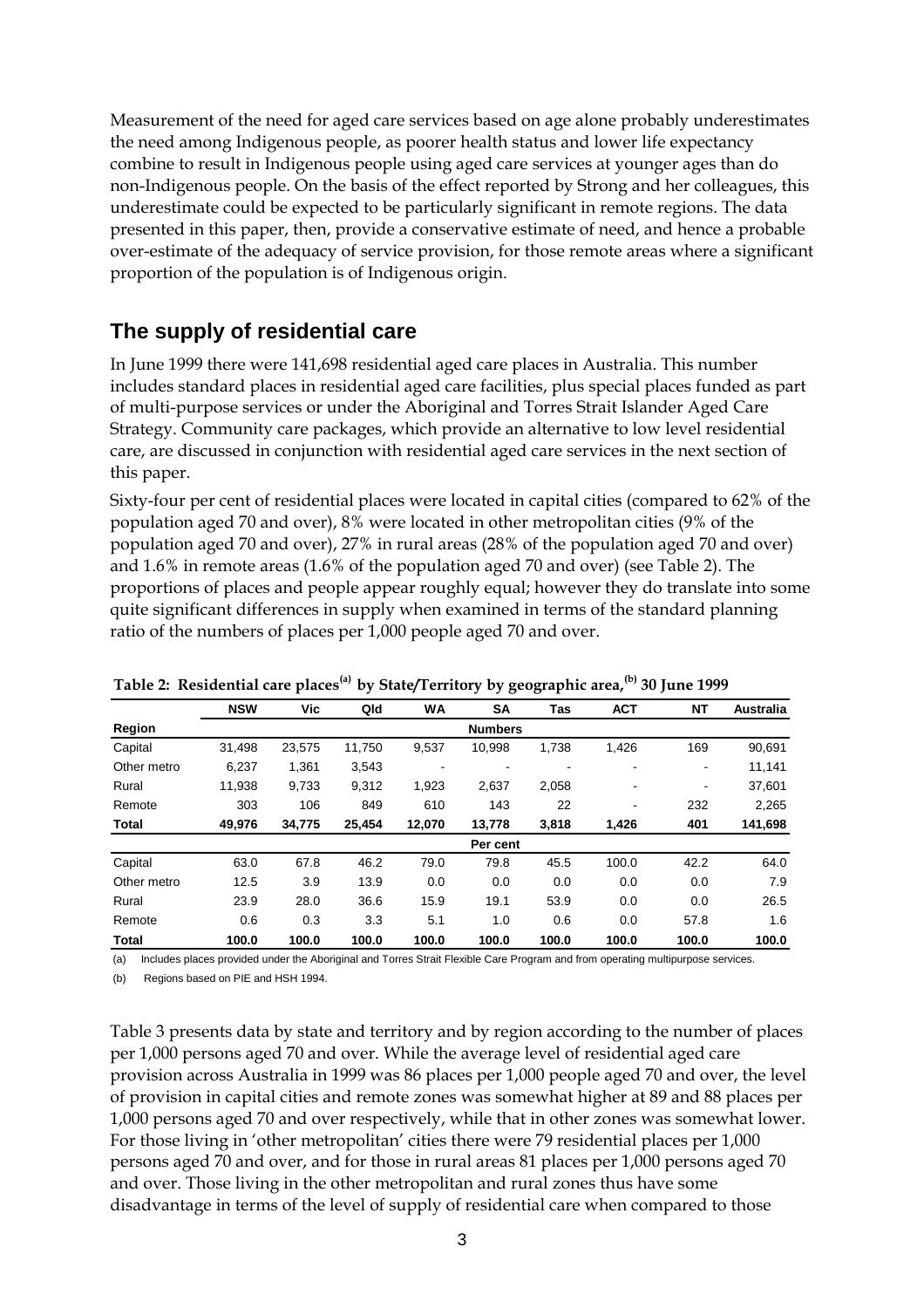Measurement of the need for aged care services based on age alone probably underestimates the need among Indigenous people, as poorer health status and lower life expectancy combine to result in Indigenous people using aged care services at younger ages than do non-Indigenous people. On the basis of the effect reported by Strong and her colleagues, this underestimate could be expected to be particularly significant in remote regions. The data presented in this paper, then, provide a conservative estimate of need, and hence a probable over-estimate of the adequacy of service provision, for those remote areas where a significant proportion of the population is of Indigenous origin.

# **The supply of residential care**

In June 1999 there were 141,698 residential aged care places in Australia. This number includes standard places in residential aged care facilities, plus special places funded as part of multi-purpose services or under the Aboriginal and Torres Strait Islander Aged Care Strategy. Community care packages, which provide an alternative to low level residential care, are discussed in conjunction with residential aged care services in the next section of this paper.

Sixty-four per cent of residential places were located in capital cities (compared to 62% of the population aged 70 and over), 8% were located in other metropolitan cities (9% of the population aged 70 and over), 27% in rural areas (28% of the population aged 70 and over) and 1.6% in remote areas (1.6% of the population aged 70 and over) (see Table 2). The proportions of places and people appear roughly equal; however they do translate into some quite significant differences in supply when examined in terms of the standard planning ratio of the numbers of places per 1,000 people aged 70 and over.

|             | <b>NSW</b> | Vic    | Qld    | <b>WA</b>                | <b>SA</b>      | Tas   | <b>ACT</b> | <b>NT</b>      | <b>Australia</b> |
|-------------|------------|--------|--------|--------------------------|----------------|-------|------------|----------------|------------------|
| Region      |            |        |        |                          | <b>Numbers</b> |       |            |                |                  |
| Capital     | 31,498     | 23,575 | 11,750 | 9,537                    | 10,998         | 1,738 | 1,426      | 169            | 90,691           |
| Other metro | 6.237      | 1,361  | 3,543  | $\overline{\phantom{a}}$ |                |       |            |                | 11,141           |
| Rural       | 11,938     | 9,733  | 9,312  | 1,923                    | 2,637          | 2,058 |            | $\blacksquare$ | 37,601           |
| Remote      | 303        | 106    | 849    | 610                      | 143            | 22    | ۰          | 232            | 2,265            |
| Total       | 49,976     | 34,775 | 25,454 | 12,070                   | 13,778         | 3,818 | 1,426      | 401            | 141,698          |
|             |            |        |        |                          | Per cent       |       |            |                |                  |
| Capital     | 63.0       | 67.8   | 46.2   | 79.0                     | 79.8           | 45.5  | 100.0      | 42.2           | 64.0             |
| Other metro | 12.5       | 3.9    | 13.9   | 0.0                      | 0.0            | 0.0   | 0.0        | 0.0            | 7.9              |
| Rural       | 23.9       | 28.0   | 36.6   | 15.9                     | 19.1           | 53.9  | 0.0        | 0.0            | 26.5             |
| Remote      | 0.6        | 0.3    | 3.3    | 5.1                      | 1.0            | 0.6   | 0.0        | 57.8           | 1.6              |
| Total       | 100.0      | 100.0  | 100.0  | 100.0                    | 100.0          | 100.0 | 100.0      | 100.0          | 100.0            |

#### **Table 2: Residential care places(a) by State/Territory by geographic area,(b) 30 June 1999**

(a) Includes places provided under the Aboriginal and Torres Strait Flexible Care Program and from operating multipurpose services.

(b) Regions based on PIE and HSH 1994.

Table 3 presents data by state and territory and by region according to the number of places per 1,000 persons aged 70 and over. While the average level of residential aged care provision across Australia in 1999 was 86 places per 1,000 people aged 70 and over, the level of provision in capital cities and remote zones was somewhat higher at 89 and 88 places per 1,000 persons aged 70 and over respectively, while that in other zones was somewhat lower. For those living in 'other metropolitan' cities there were 79 residential places per 1,000 persons aged 70 and over, and for those in rural areas 81 places per 1,000 persons aged 70 and over. Those living in the other metropolitan and rural zones thus have some disadvantage in terms of the level of supply of residential care when compared to those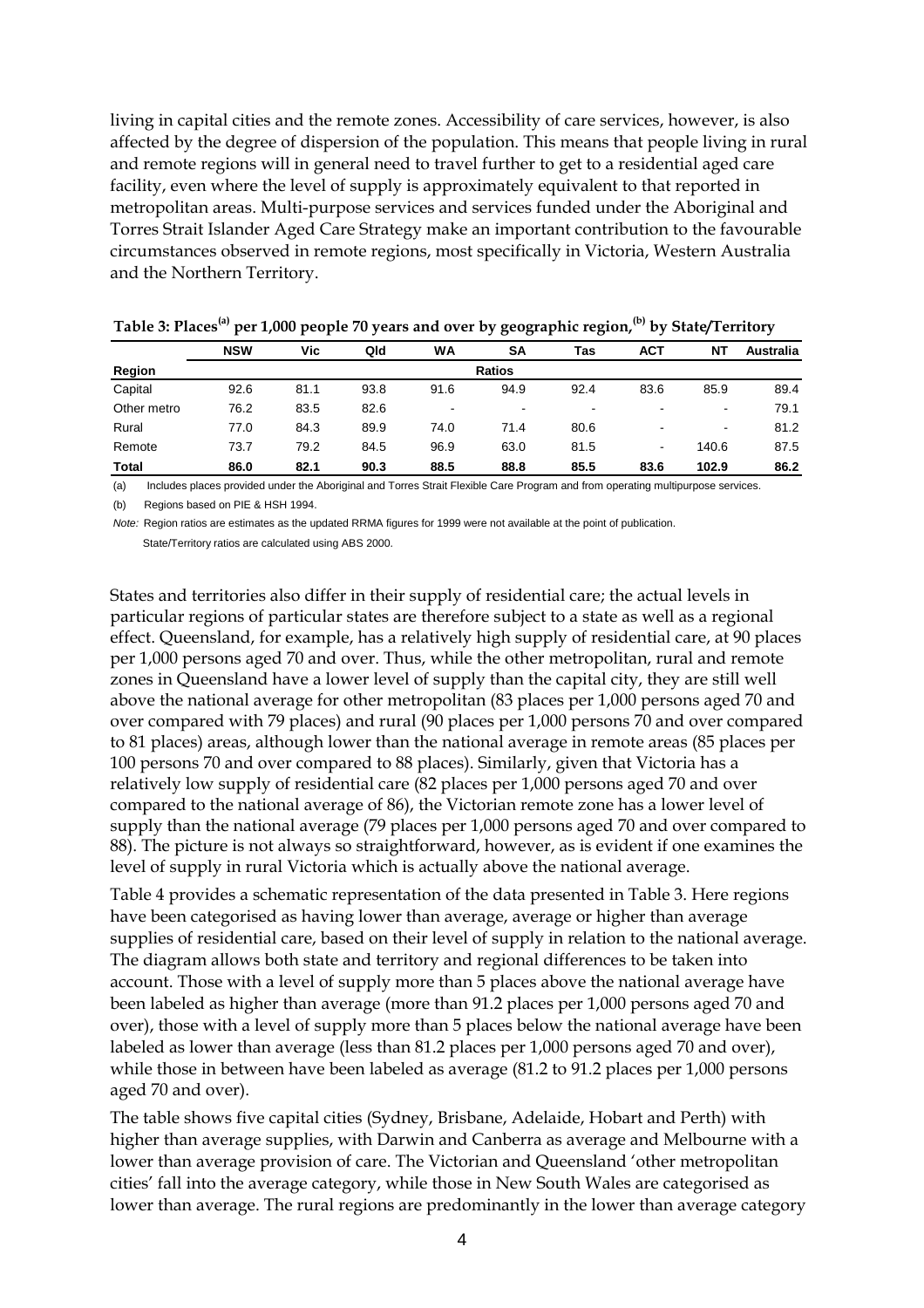living in capital cities and the remote zones. Accessibility of care services, however, is also affected by the degree of dispersion of the population. This means that people living in rural and remote regions will in general need to travel further to get to a residential aged care facility, even where the level of supply is approximately equivalent to that reported in metropolitan areas. Multi-purpose services and services funded under the Aboriginal and Torres Strait Islander Aged Care Strategy make an important contribution to the favourable circumstances observed in remote regions, most specifically in Victoria, Western Australia and the Northern Territory.

|             | <b>NSW</b>    | Vic  | Qld  | WA   | <b>SA</b> | Tas                      | ACT                      | <b>NT</b>      | <b>Australia</b> |  |  |
|-------------|---------------|------|------|------|-----------|--------------------------|--------------------------|----------------|------------------|--|--|
| Region      | <b>Ratios</b> |      |      |      |           |                          |                          |                |                  |  |  |
| Capital     | 92.6          | 81.1 | 93.8 | 91.6 | 94.9      | 92.4                     | 83.6                     | 85.9           | 89.4             |  |  |
| Other metro | 76.2          | 83.5 | 82.6 | -    | ٠         | $\overline{\phantom{a}}$ | $\blacksquare$           | ٠              | 79.1             |  |  |
| Rural       | 77.0          | 84.3 | 89.9 | 74.0 | 71.4      | 80.6                     | $\overline{\phantom{a}}$ | $\blacksquare$ | 81.2             |  |  |
| Remote      | 73.7          | 79.2 | 84.5 | 96.9 | 63.0      | 81.5                     | ٠                        | 140.6          | 87.5             |  |  |
| Total       | 86.0          | 82.1 | 90.3 | 88.5 | 88.8      | 85.5                     | 83.6                     | 102.9          | 86.2             |  |  |

| Table 3: Places <sup>(a)</sup> per 1,000 people 70 years and over by geographic region, <sup>(b)</sup> by State/Territory |  |  |  |  |  |
|---------------------------------------------------------------------------------------------------------------------------|--|--|--|--|--|
|---------------------------------------------------------------------------------------------------------------------------|--|--|--|--|--|

(a) Includes places provided under the Aboriginal and Torres Strait Flexible Care Program and from operating multipurpose services.

(b) Regions based on PIE & HSH 1994.

*Note:* Region ratios are estimates as the updated RRMA figures for 1999 were not available at the point of publication.

State/Territory ratios are calculated using ABS 2000.

States and territories also differ in their supply of residential care; the actual levels in particular regions of particular states are therefore subject to a state as well as a regional effect. Queensland, for example, has a relatively high supply of residential care, at 90 places per 1,000 persons aged 70 and over. Thus, while the other metropolitan, rural and remote zones in Queensland have a lower level of supply than the capital city, they are still well above the national average for other metropolitan (83 places per 1,000 persons aged 70 and over compared with 79 places) and rural (90 places per 1,000 persons 70 and over compared to 81 places) areas, although lower than the national average in remote areas (85 places per 100 persons 70 and over compared to 88 places). Similarly, given that Victoria has a relatively low supply of residential care (82 places per 1,000 persons aged 70 and over compared to the national average of 86), the Victorian remote zone has a lower level of supply than the national average (79 places per 1,000 persons aged 70 and over compared to 88). The picture is not always so straightforward, however, as is evident if one examines the level of supply in rural Victoria which is actually above the national average.

Table 4 provides a schematic representation of the data presented in Table 3. Here regions have been categorised as having lower than average, average or higher than average supplies of residential care, based on their level of supply in relation to the national average. The diagram allows both state and territory and regional differences to be taken into account. Those with a level of supply more than 5 places above the national average have been labeled as higher than average (more than 91.2 places per 1,000 persons aged 70 and over), those with a level of supply more than 5 places below the national average have been labeled as lower than average (less than 81.2 places per 1,000 persons aged 70 and over), while those in between have been labeled as average (81.2 to 91.2 places per 1,000 persons aged 70 and over).

The table shows five capital cities (Sydney, Brisbane, Adelaide, Hobart and Perth) with higher than average supplies, with Darwin and Canberra as average and Melbourne with a lower than average provision of care. The Victorian and Queensland 'other metropolitan cities' fall into the average category, while those in New South Wales are categorised as lower than average. The rural regions are predominantly in the lower than average category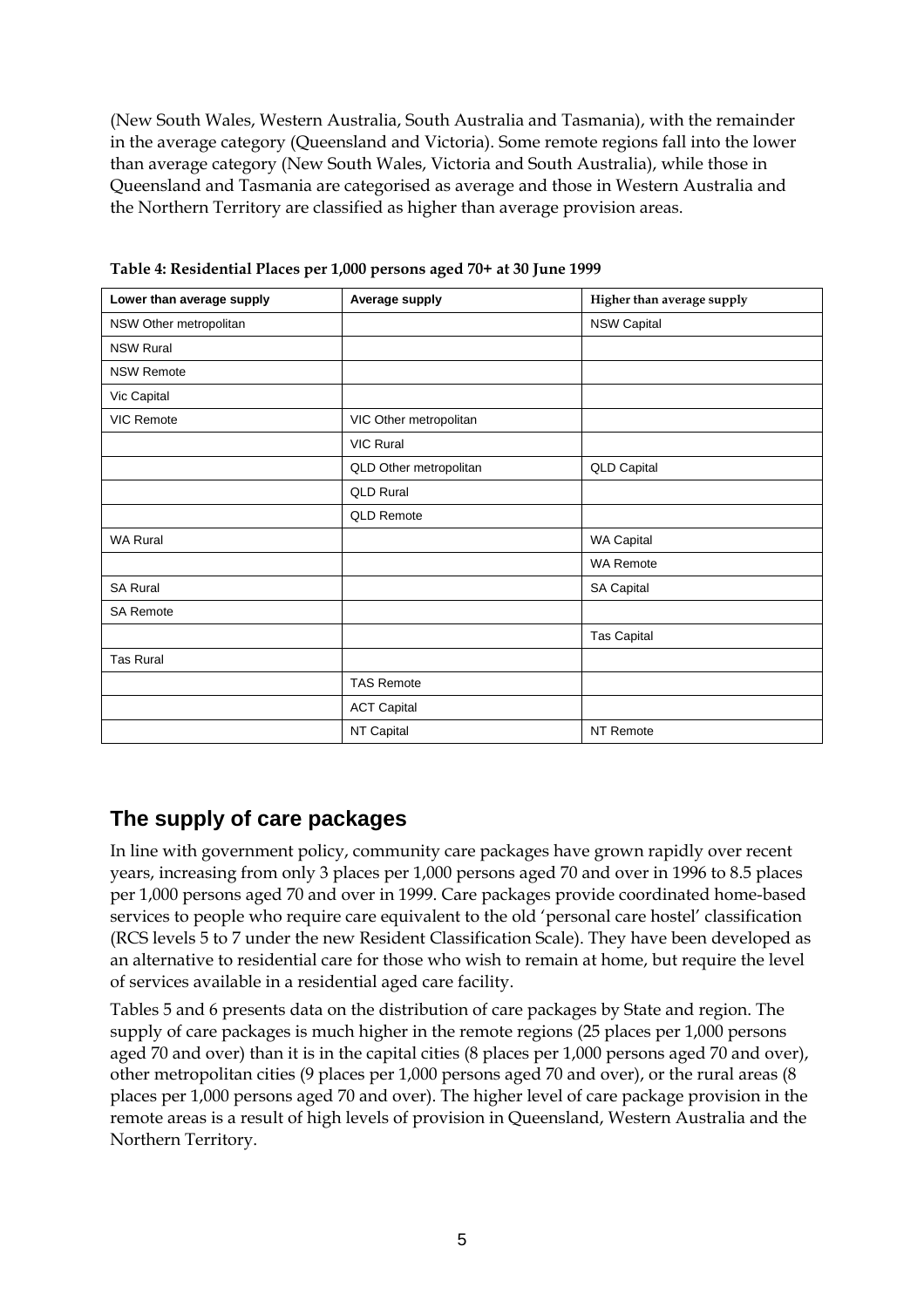(New South Wales, Western Australia, South Australia and Tasmania), with the remainder in the average category (Queensland and Victoria). Some remote regions fall into the lower than average category (New South Wales, Victoria and South Australia), while those in Queensland and Tasmania are categorised as average and those in Western Australia and the Northern Territory are classified as higher than average provision areas.

| Lower than average supply | Average supply         | Higher than average supply |
|---------------------------|------------------------|----------------------------|
| NSW Other metropolitan    |                        | <b>NSW Capital</b>         |
| <b>NSW Rural</b>          |                        |                            |
| <b>NSW Remote</b>         |                        |                            |
| Vic Capital               |                        |                            |
| <b>VIC Remote</b>         | VIC Other metropolitan |                            |
|                           | <b>VIC Rural</b>       |                            |
|                           | QLD Other metropolitan | <b>QLD Capital</b>         |
|                           | <b>QLD Rural</b>       |                            |
|                           | <b>QLD Remote</b>      |                            |
| <b>WA Rural</b>           |                        | WA Capital                 |
|                           |                        | <b>WA Remote</b>           |
| <b>SA Rural</b>           |                        | <b>SA Capital</b>          |
| <b>SA Remote</b>          |                        |                            |
|                           |                        | <b>Tas Capital</b>         |
| Tas Rural                 |                        |                            |
|                           | <b>TAS Remote</b>      |                            |
|                           | <b>ACT Capital</b>     |                            |
|                           | NT Capital             | NT Remote                  |

**Table 4: Residential Places per 1,000 persons aged 70+ at 30 June 1999** 

#### **The supply of care packages**

In line with government policy, community care packages have grown rapidly over recent years, increasing from only 3 places per 1,000 persons aged 70 and over in 1996 to 8.5 places per 1,000 persons aged 70 and over in 1999. Care packages provide coordinated home-based services to people who require care equivalent to the old 'personal care hostel' classification (RCS levels 5 to 7 under the new Resident Classification Scale). They have been developed as an alternative to residential care for those who wish to remain at home, but require the level of services available in a residential aged care facility.

Tables 5 and 6 presents data on the distribution of care packages by State and region. The supply of care packages is much higher in the remote regions (25 places per 1,000 persons aged 70 and over) than it is in the capital cities (8 places per 1,000 persons aged 70 and over), other metropolitan cities (9 places per 1,000 persons aged 70 and over), or the rural areas (8 places per 1,000 persons aged 70 and over). The higher level of care package provision in the remote areas is a result of high levels of provision in Queensland, Western Australia and the Northern Territory.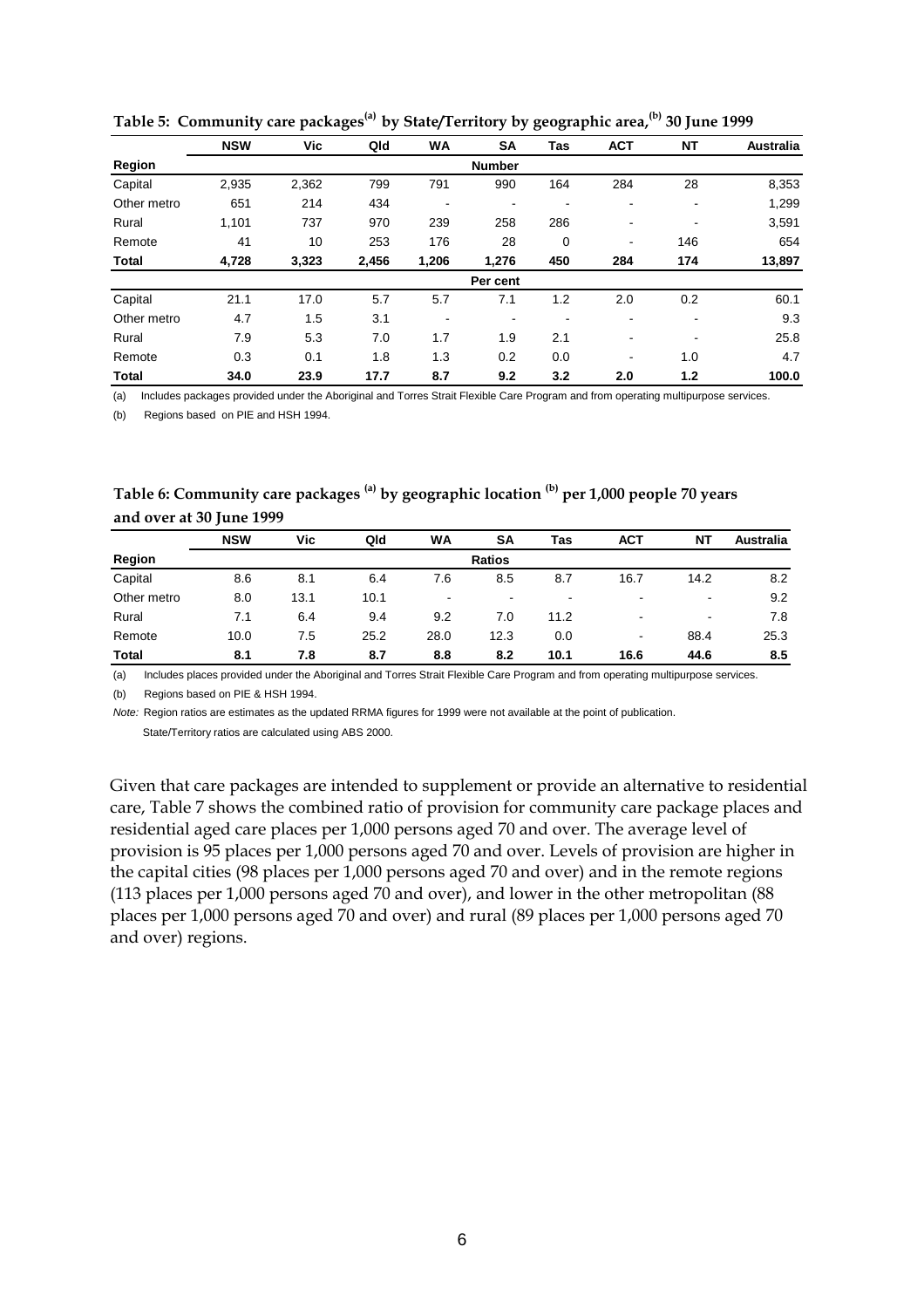|              | <b>NSW</b>    | Vic   | Qld   | <b>WA</b> | <b>SA</b> | Tas | <b>ACT</b>               | NΤ             | <b>Australia</b> |  |  |  |
|--------------|---------------|-------|-------|-----------|-----------|-----|--------------------------|----------------|------------------|--|--|--|
| Region       | <b>Number</b> |       |       |           |           |     |                          |                |                  |  |  |  |
| Capital      | 2,935         | 2,362 | 799   | 791       | 990       | 164 | 284                      | 28             | 8,353            |  |  |  |
| Other metro  | 651           | 214   | 434   |           | ۰         |     | $\overline{\phantom{a}}$ | $\blacksquare$ | 1,299            |  |  |  |
| Rural        | 1,101         | 737   | 970   | 239       | 258       | 286 | $\overline{\phantom{a}}$ | $\blacksquare$ | 3,591            |  |  |  |
| Remote       | 41            | 10    | 253   | 176       | 28        | 0   | ٠                        | 146            | 654              |  |  |  |
| <b>Total</b> | 4,728         | 3,323 | 2,456 | 1,206     | 1,276     | 450 | 284                      | 174            | 13,897           |  |  |  |
|              |               |       |       |           | Per cent  |     |                          |                |                  |  |  |  |
| Capital      | 21.1          | 17.0  | 5.7   | 5.7       | 7.1       | 1.2 | 2.0                      | 0.2            | 60.1             |  |  |  |
| Other metro  | 4.7           | 1.5   | 3.1   |           | ۰         |     |                          | -              | 9.3              |  |  |  |
| Rural        | 7.9           | 5.3   | 7.0   | 1.7       | 1.9       | 2.1 | $\overline{\phantom{a}}$ | $\blacksquare$ | 25.8             |  |  |  |
| Remote       | 0.3           | 0.1   | 1.8   | 1.3       | 0.2       | 0.0 | $\blacksquare$           | 1.0            | 4.7              |  |  |  |
| <b>Total</b> | 34.0          | 23.9  | 17.7  | 8.7       | 9.2       | 3.2 | 2.0                      | 1.2            | 100.0            |  |  |  |

**Table 5: Community care packages(a) by State/Territory by geographic area,(b) 30 June 1999**

(a) Includes packages provided under the Aboriginal and Torres Strait Flexible Care Program and from operating multipurpose services.

(b) Regions based on PIE and HSH 1994.

| Table 6: Community care packages <sup>(a)</sup> by geographic location <sup>(b)</sup> per 1,000 people 70 years |  |
|-----------------------------------------------------------------------------------------------------------------|--|
| and over at 30 June 1999                                                                                        |  |

|              | <b>NSW</b>    | Vic  | Qld  | WA   | SΑ   | Tas  | <b>ACT</b>               | <b>NT</b> | <b>Australia</b> |  |  |
|--------------|---------------|------|------|------|------|------|--------------------------|-----------|------------------|--|--|
| Region       | <b>Ratios</b> |      |      |      |      |      |                          |           |                  |  |  |
| Capital      | 8.6           | 8.1  | 6.4  | 7.6  | 8.5  | 8.7  | 16.7                     | 14.2      | 8.2              |  |  |
| Other metro  | 8.0           | 13.1 | 10.1 | -    |      | ٠    |                          | $\,$      | 9.2              |  |  |
| Rural        | 7.1           | 6.4  | 9.4  | 9.2  | 7.0  | 11.2 | $\overline{\phantom{a}}$ | $\,$      | 7.8              |  |  |
| Remote       | 10.0          | 7.5  | 25.2 | 28.0 | 12.3 | 0.0  | ٠                        | 88.4      | 25.3             |  |  |
| <b>Total</b> | 8.1           | 7.8  | 8.7  | 8.8  | 8.2  | 10.1 | 16.6                     | 44.6      | 8.5              |  |  |

(a) Includes places provided under the Aboriginal and Torres Strait Flexible Care Program and from operating multipurpose services.

(b) Regions based on PIE & HSH 1994.

*Note:* Region ratios are estimates as the updated RRMA figures for 1999 were not available at the point of publication. State/Territory ratios are calculated using ABS 2000.

Given that care packages are intended to supplement or provide an alternative to residential care, Table 7 shows the combined ratio of provision for community care package places and residential aged care places per 1,000 persons aged 70 and over. The average level of provision is 95 places per 1,000 persons aged 70 and over. Levels of provision are higher in the capital cities (98 places per 1,000 persons aged 70 and over) and in the remote regions (113 places per 1,000 persons aged 70 and over), and lower in the other metropolitan (88 places per 1,000 persons aged 70 and over) and rural (89 places per 1,000 persons aged 70 and over) regions.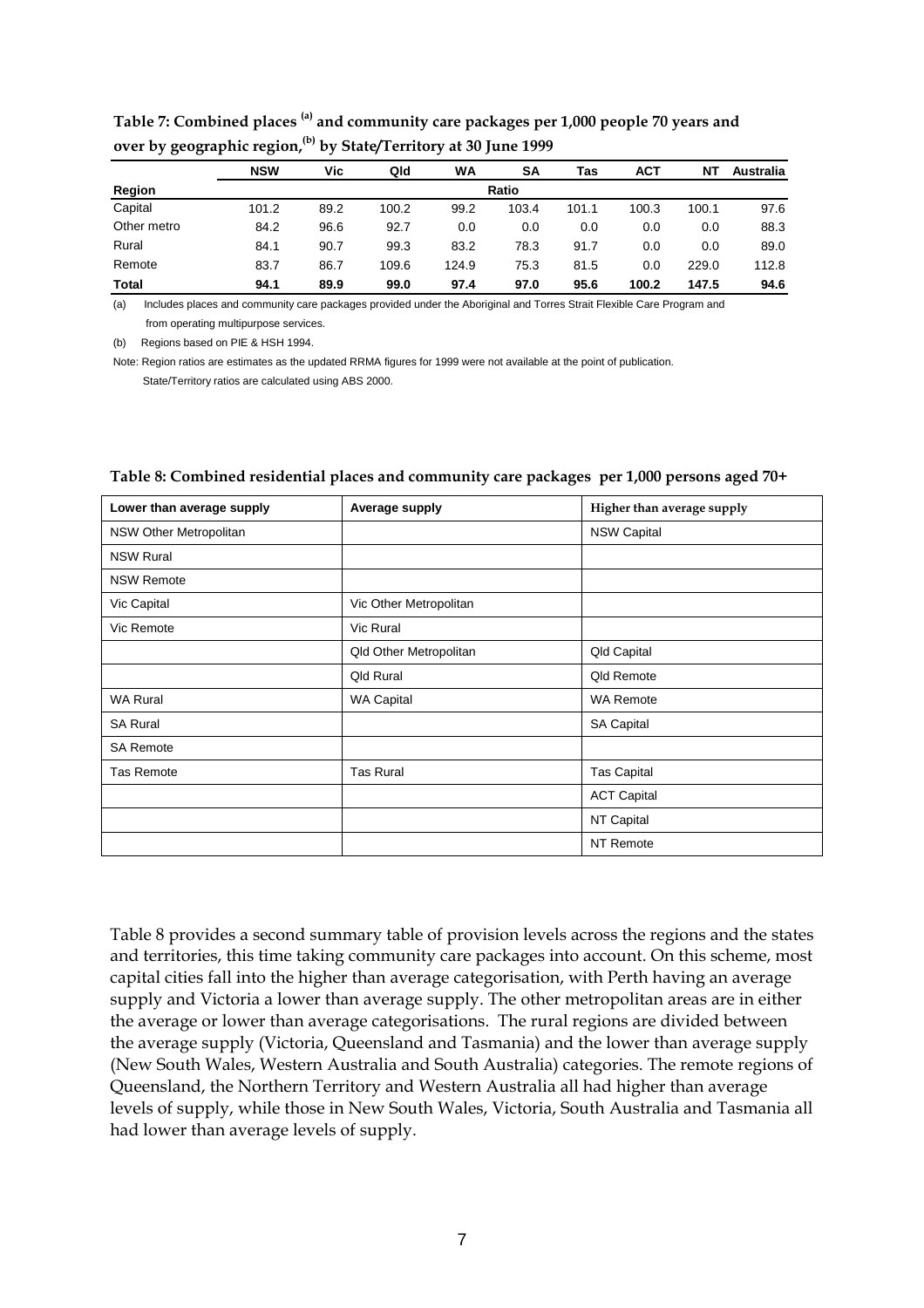|             | <b>NSW</b> | Vic  | Qld   | WA    | <b>SA</b> | Tas   | <b>ACT</b> | ΝT    | <b>Australia</b> |  |  |
|-------------|------------|------|-------|-------|-----------|-------|------------|-------|------------------|--|--|
| Region      | Ratio      |      |       |       |           |       |            |       |                  |  |  |
| Capital     | 101.2      | 89.2 | 100.2 | 99.2  | 103.4     | 101.1 | 100.3      | 100.1 | 97.6             |  |  |
| Other metro | 84.2       | 96.6 | 92.7  | 0.0   | 0.0       | 0.0   | 0.0        | 0.0   | 88.3             |  |  |
| Rural       | 84.1       | 90.7 | 99.3  | 83.2  | 78.3      | 91.7  | 0.0        | 0.0   | 89.0             |  |  |
| Remote      | 83.7       | 86.7 | 109.6 | 124.9 | 75.3      | 81.5  | 0.0        | 229.0 | 112.8            |  |  |
| Total       | 94.1       | 89.9 | 99.0  | 97.4  | 97.0      | 95.6  | 100.2      | 147.5 | 94.6             |  |  |

#### **Table 7: Combined places (a) and community care packages per 1,000 people 70 years and over by geographic region, (b) by State/Territory at 30 June 1999**

(a) Includes places and community care packages provided under the Aboriginal and Torres Strait Flexible Care Program and from operating multipurpose services.

(b) Regions based on PIE & HSH 1994.

Note: Region ratios are estimates as the updated RRMA figures for 1999 were not available at the point of publication. State/Territory ratios are calculated using ABS 2000.

| Lower than average supply | Average supply         | Higher than average supply |
|---------------------------|------------------------|----------------------------|
| NSW Other Metropolitan    |                        | <b>NSW Capital</b>         |
| <b>NSW Rural</b>          |                        |                            |
| <b>NSW Remote</b>         |                        |                            |
| Vic Capital               | Vic Other Metropolitan |                            |
| Vic Remote                | Vic Rural              |                            |
|                           | Qld Other Metropolitan | Qld Capital                |
|                           | <b>Qld Rural</b>       | Qld Remote                 |
| <b>WA Rural</b>           | <b>WA Capital</b>      | <b>WA Remote</b>           |
| <b>SA Rural</b>           |                        | <b>SA Capital</b>          |
| <b>SA Remote</b>          |                        |                            |
| <b>Tas Remote</b>         | <b>Tas Rural</b>       | <b>Tas Capital</b>         |
|                           |                        | <b>ACT Capital</b>         |
|                           |                        | NT Capital                 |
|                           |                        | NT Remote                  |

#### **Table 8: Combined residential places and community care packages per 1,000 persons aged 70+**

Table 8 provides a second summary table of provision levels across the regions and the states and territories, this time taking community care packages into account. On this scheme, most capital cities fall into the higher than average categorisation, with Perth having an average supply and Victoria a lower than average supply. The other metropolitan areas are in either the average or lower than average categorisations. The rural regions are divided between the average supply (Victoria, Queensland and Tasmania) and the lower than average supply (New South Wales, Western Australia and South Australia) categories. The remote regions of Queensland, the Northern Territory and Western Australia all had higher than average levels of supply, while those in New South Wales, Victoria, South Australia and Tasmania all had lower than average levels of supply.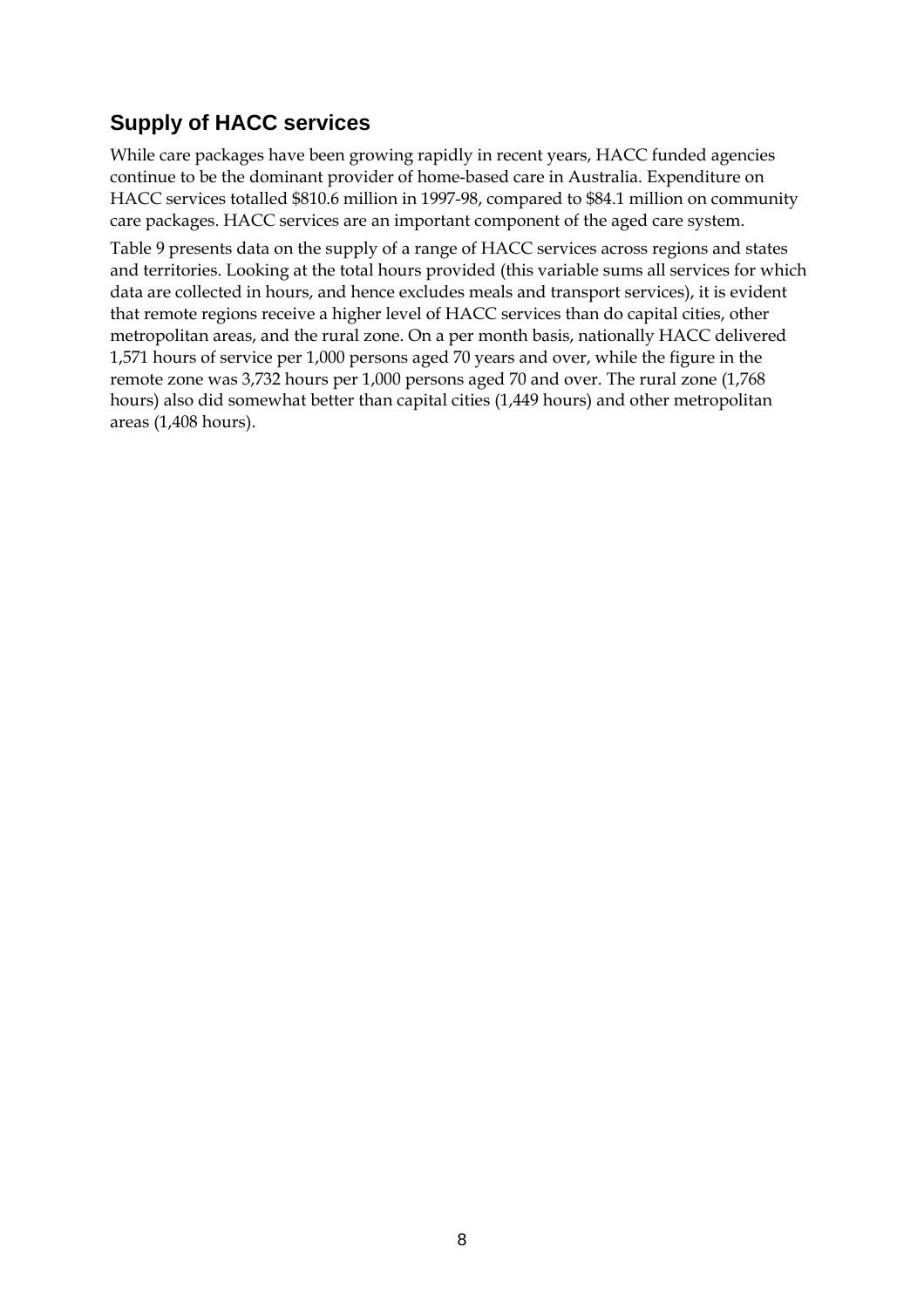# **Supply of HACC services**

While care packages have been growing rapidly in recent years, HACC funded agencies continue to be the dominant provider of home-based care in Australia. Expenditure on HACC services totalled \$810.6 million in 1997-98, compared to \$84.1 million on community care packages. HACC services are an important component of the aged care system.

Table 9 presents data on the supply of a range of HACC services across regions and states and territories. Looking at the total hours provided (this variable sums all services for which data are collected in hours, and hence excludes meals and transport services), it is evident that remote regions receive a higher level of HACC services than do capital cities, other metropolitan areas, and the rural zone. On a per month basis, nationally HACC delivered 1,571 hours of service per 1,000 persons aged 70 years and over, while the figure in the remote zone was 3,732 hours per 1,000 persons aged 70 and over. The rural zone (1,768 hours) also did somewhat better than capital cities (1,449 hours) and other metropolitan areas (1,408 hours).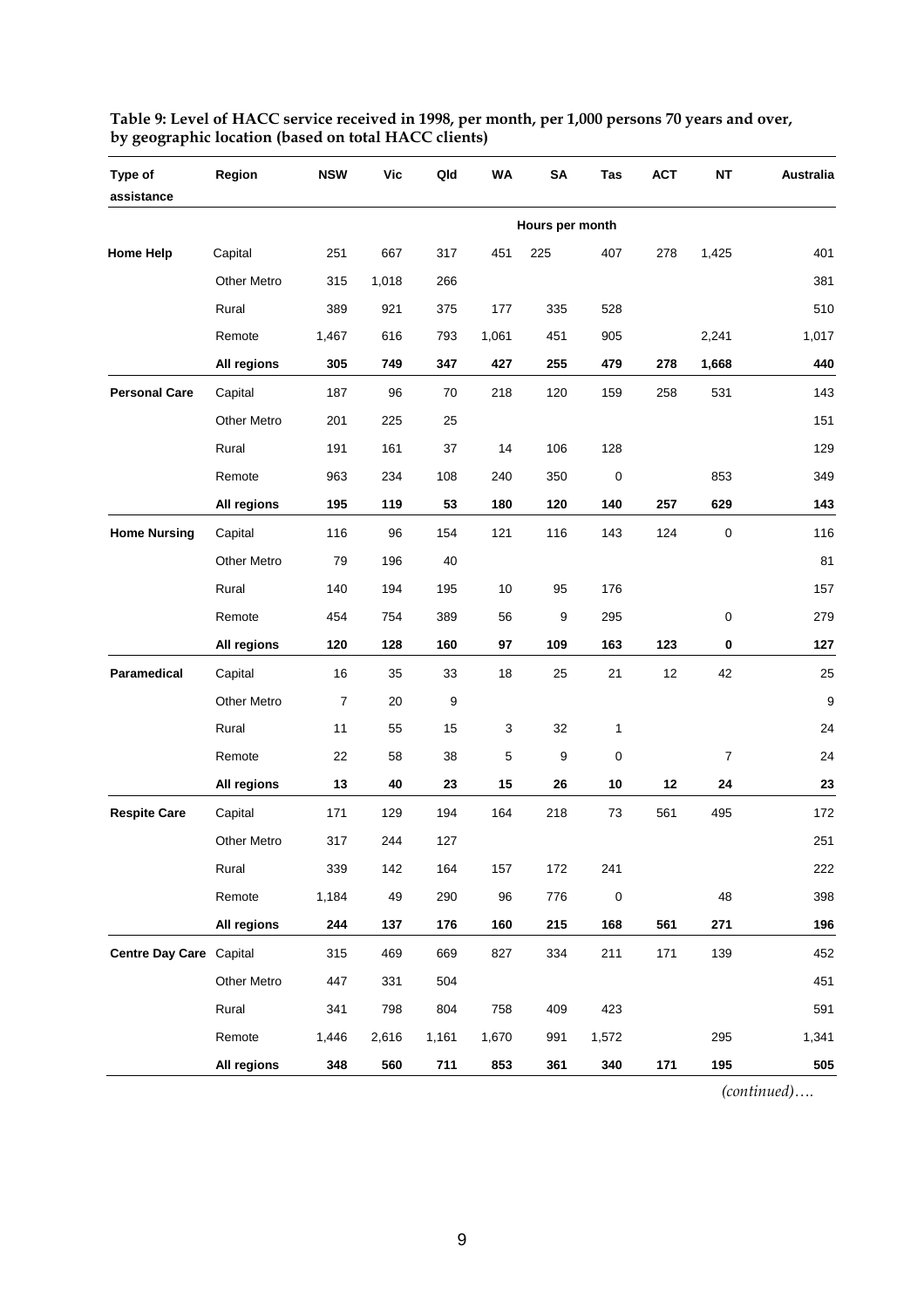| Type of<br>assistance   | Region             | <b>NSW</b>       | Vic   | Qld   | <b>WA</b> | SA              | Tas         | <b>ACT</b> | <b>NT</b>   | <b>Australia</b> |
|-------------------------|--------------------|------------------|-------|-------|-----------|-----------------|-------------|------------|-------------|------------------|
|                         |                    |                  |       |       |           | Hours per month |             |            |             |                  |
| <b>Home Help</b>        | Capital            | 251              | 667   | 317   | 451       | 225             | 407         | 278        | 1,425       | 401              |
|                         | <b>Other Metro</b> | 315              | 1,018 | 266   |           |                 |             |            |             | 381              |
|                         | Rural              | 389              | 921   | 375   | 177       | 335             | 528         |            |             | 510              |
|                         | Remote             | 1,467            | 616   | 793   | 1,061     | 451             | 905         |            | 2,241       | 1,017            |
|                         | All regions        | 305              | 749   | 347   | 427       | 255             | 479         | 278        | 1,668       | 440              |
| <b>Personal Care</b>    | Capital            | 187              | 96    | 70    | 218       | 120             | 159         | 258        | 531         | 143              |
|                         | <b>Other Metro</b> | 201              | 225   | 25    |           |                 |             |            |             | 151              |
|                         | Rural              | 191              | 161   | 37    | 14        | 106             | 128         |            |             | 129              |
|                         | Remote             | 963              | 234   | 108   | 240       | 350             | $\mathbf 0$ |            | 853         | 349              |
|                         | All regions        | 195              | 119   | 53    | 180       | 120             | 140         | 257        | 629         | 143              |
| <b>Home Nursing</b>     | Capital            | 116              | 96    | 154   | 121       | 116             | 143         | 124        | $\mathbf 0$ | 116              |
|                         | <b>Other Metro</b> | 79               | 196   | 40    |           |                 |             |            |             | 81               |
|                         | Rural              | 140              | 194   | 195   | 10        | 95              | 176         |            |             | 157              |
|                         | Remote             | 454              | 754   | 389   | 56        | 9               | 295         |            | 0           | 279              |
|                         | All regions        | 120              | 128   | 160   | 97        | 109             | 163         | 123        | 0           | 127              |
| Paramedical             | Capital            | 16               | 35    | 33    | 18        | 25              | 21          | 12         | 42          | 25               |
|                         | Other Metro        | $\boldsymbol{7}$ | 20    | 9     |           |                 |             |            |             | 9                |
|                         | Rural              | 11               | 55    | 15    | 3         | 32              | 1           |            |             | 24               |
|                         | Remote             | 22               | 58    | 38    | 5         | 9               | 0           |            | 7           | 24               |
|                         | All regions        | 13               | 40    | 23    | 15        | 26              | 10          | 12         | 24          | 23               |
| <b>Respite Care</b>     | Capital            | 171              | 129   | 194   | 164       | 218             | 73          | 561        | 495         | 172              |
|                         | Other Metro        | 317              | 244   | 127   |           |                 |             |            |             | 251              |
|                         | Rural              | 339              | 142   | 164   | 157       | 172             | 241         |            |             | 222              |
|                         | Remote             | 1,184            | 49    | 290   | 96        | 776             | $\pmb{0}$   |            | 48          | 398              |
|                         | All regions        | 244              | 137   | 176   | 160       | 215             | 168         | 561        | 271         | 196              |
| Centre Day Care Capital |                    | 315              | 469   | 669   | 827       | 334             | 211         | 171        | 139         | 452              |
|                         | Other Metro        | 447              | 331   | 504   |           |                 |             |            |             | 451              |
|                         | Rural              | 341              | 798   | 804   | 758       | 409             | 423         |            |             | 591              |
|                         | Remote             | 1,446            | 2,616 | 1,161 | 1,670     | 991             | 1,572       |            | 295         | 1,341            |
|                         | All regions        | 348              | 560   | 711   | 853       | 361             | 340         | 171        | 195         | 505              |

**Table 9: Level of HACC service received in 1998, per month, per 1,000 persons 70 years and over, by geographic location (based on total HACC clients)** 

*(continued)….*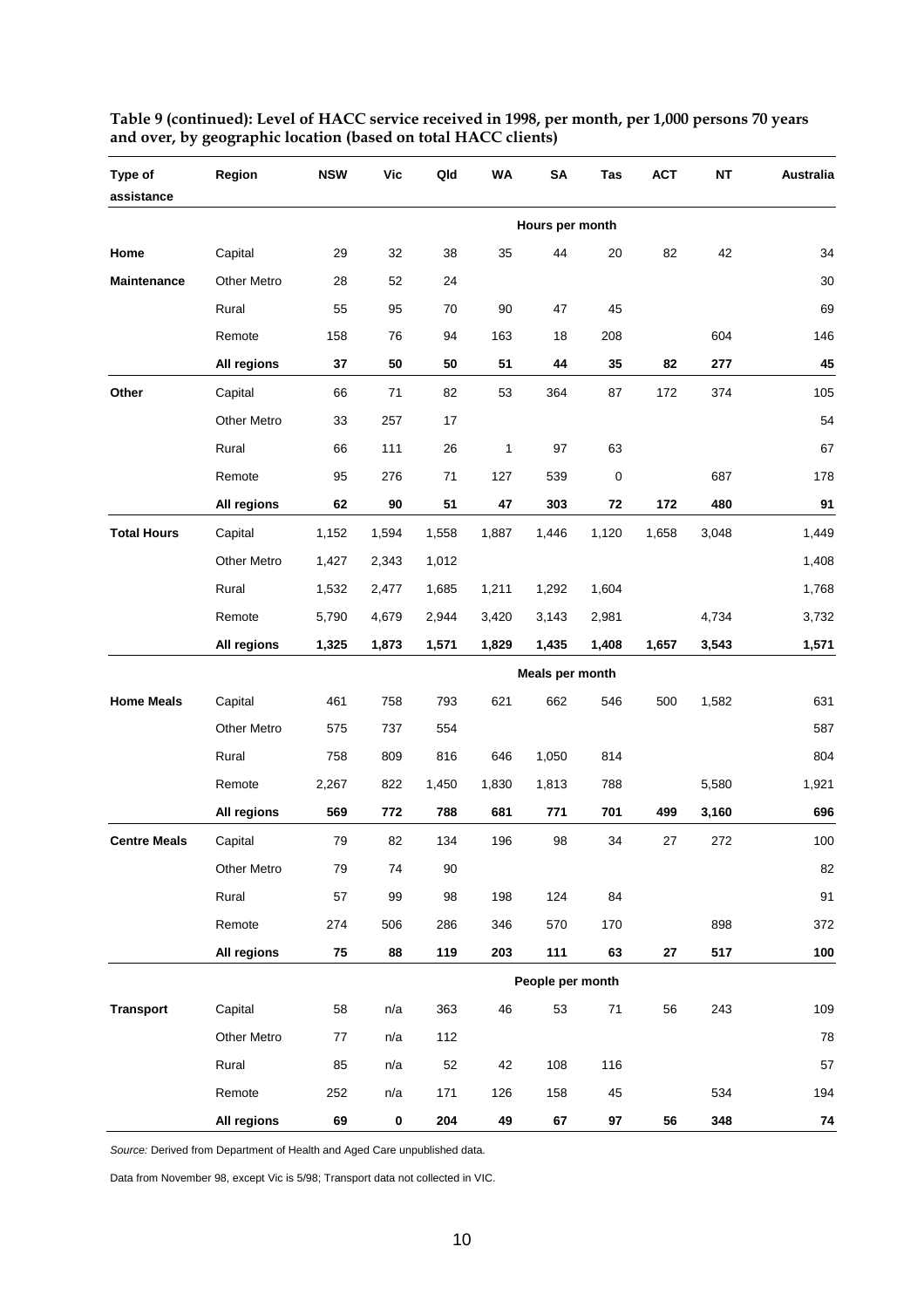| Type of<br>assistance | Region             | <b>NSW</b> | Vic   | Qld   | WA    | <b>SA</b>        | Tas         | <b>ACT</b> | NΤ    | Australia |
|-----------------------|--------------------|------------|-------|-------|-------|------------------|-------------|------------|-------|-----------|
|                       |                    |            |       |       |       | Hours per month  |             |            |       |           |
| Home                  | Capital            | 29         | 32    | 38    | 35    | 44               | 20          | 82         | 42    | 34        |
| <b>Maintenance</b>    | Other Metro        | 28         | 52    | 24    |       |                  |             |            |       | 30        |
|                       | Rural              | 55         | 95    | 70    | 90    | 47               | 45          |            |       | 69        |
|                       | Remote             | 158        | 76    | 94    | 163   | 18               | 208         |            | 604   | 146       |
|                       | All regions        | 37         | 50    | 50    | 51    | 44               | 35          | 82         | 277   | 45        |
| Other                 | Capital            | 66         | 71    | 82    | 53    | 364              | 87          | 172        | 374   | 105       |
|                       | Other Metro        | 33         | 257   | 17    |       |                  |             |            |       | 54        |
|                       | Rural              | 66         | 111   | 26    | 1     | 97               | 63          |            |       | 67        |
|                       | Remote             | 95         | 276   | 71    | 127   | 539              | $\mathbf 0$ |            | 687   | 178       |
|                       | All regions        | 62         | 90    | 51    | 47    | 303              | 72          | 172        | 480   | 91        |
| <b>Total Hours</b>    | Capital            | 1,152      | 1,594 | 1,558 | 1,887 | 1,446            | 1,120       | 1,658      | 3,048 | 1,449     |
|                       | <b>Other Metro</b> | 1,427      | 2,343 | 1,012 |       |                  |             |            |       | 1,408     |
|                       | Rural              | 1,532      | 2,477 | 1,685 | 1,211 | 1,292            | 1,604       |            |       | 1,768     |
|                       | Remote             | 5,790      | 4,679 | 2,944 | 3,420 | 3,143            | 2,981       |            | 4,734 | 3,732     |
|                       | All regions        | 1,325      | 1,873 | 1,571 | 1,829 | 1,435            | 1,408       | 1,657      | 3,543 | 1,571     |
|                       |                    |            |       |       |       | Meals per month  |             |            |       |           |
| <b>Home Meals</b>     | Capital            | 461        | 758   | 793   | 621   | 662              | 546         | 500        | 1,582 | 631       |
|                       | <b>Other Metro</b> | 575        | 737   | 554   |       |                  |             |            |       | 587       |
|                       | Rural              | 758        | 809   | 816   | 646   | 1,050            | 814         |            |       | 804       |
|                       | Remote             | 2,267      | 822   | 1,450 | 1,830 | 1,813            | 788         |            | 5,580 | 1,921     |
|                       | All regions        | 569        | 772   | 788   | 681   | 771              | 701         | 499        | 3,160 | 696       |
| <b>Centre Meals</b>   | Capital            | 79         | 82    | 134   | 196   | 98               | 34          | 27         | 272   | 100       |
|                       | Other Metro        | 79         | 74    | 90    |       |                  |             |            |       | 82        |
|                       | Rural              | 57         | 99    | 98    | 198   | 124              | 84          |            |       | 91        |
|                       | Remote             | 274        | 506   | 286   | 346   | 570              | 170         |            | 898   | 372       |
|                       | All regions        | 75         | 88    | 119   | 203   | 111              | 63          | 27         | 517   | 100       |
|                       |                    |            |       |       |       | People per month |             |            |       |           |
| <b>Transport</b>      | Capital            | 58         | n/a   | 363   | 46    | 53               | $71$        | 56         | 243   | 109       |
|                       | Other Metro        | 77         | n/a   | 112   |       |                  |             |            |       | 78        |
|                       | Rural              | 85         | n/a   | 52    | 42    | 108              | 116         |            |       | 57        |
|                       | Remote             | 252        | n/a   | 171   | 126   | 158              | 45          |            | 534   | 194       |
|                       | All regions        | 69         | 0     | 204   | 49    | 67               | 97          | 56         | 348   | 74        |

**Table 9 (continued): Level of HACC service received in 1998, per month, per 1,000 persons 70 years and over, by geographic location (based on total HACC clients)** 

*Source:* Derived from Department of Health and Aged Care unpublished data.

Data from November 98, except Vic is 5/98; Transport data not collected in VIC.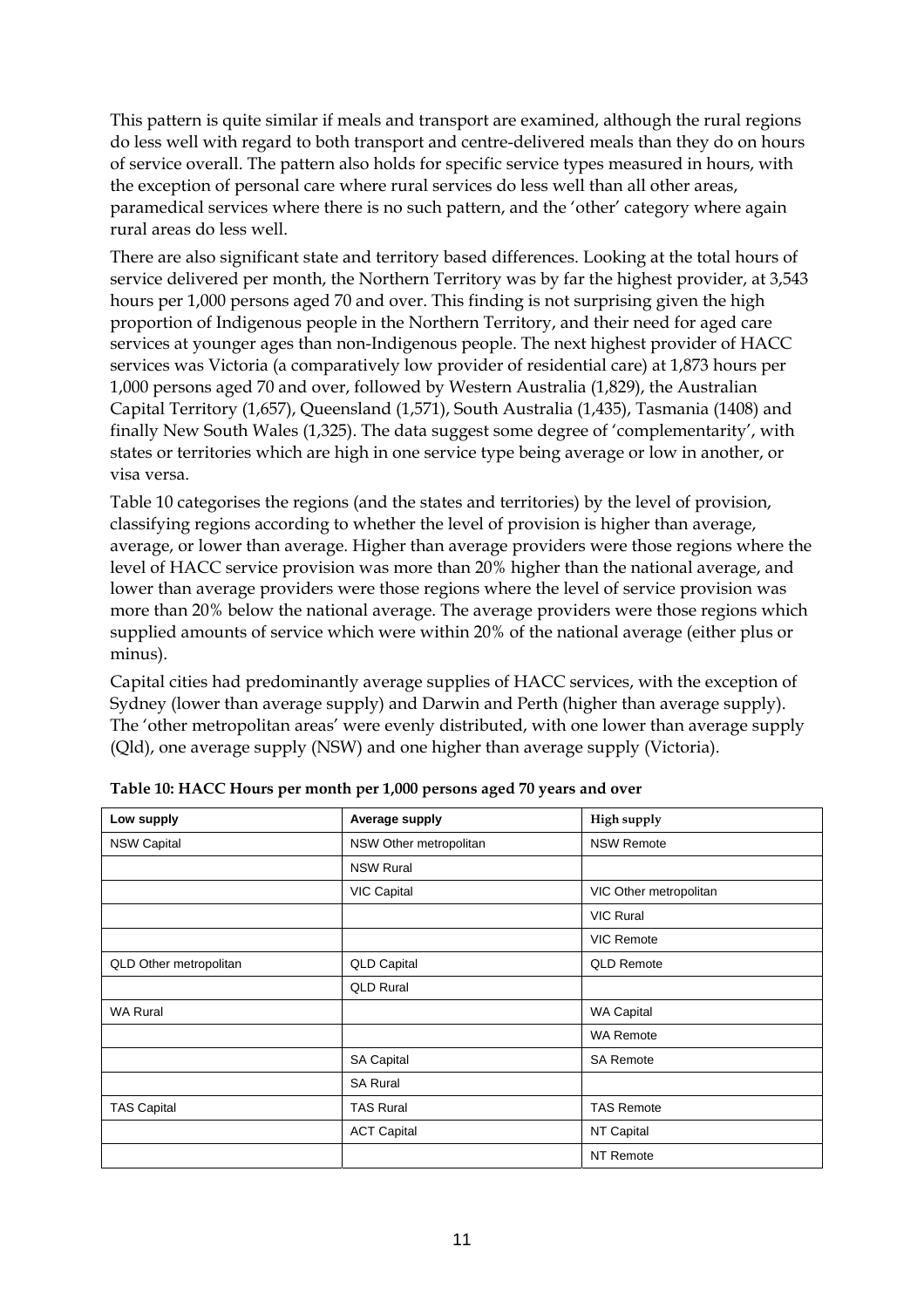This pattern is quite similar if meals and transport are examined, although the rural regions do less well with regard to both transport and centre-delivered meals than they do on hours of service overall. The pattern also holds for specific service types measured in hours, with the exception of personal care where rural services do less well than all other areas, paramedical services where there is no such pattern, and the 'other' category where again rural areas do less well.

There are also significant state and territory based differences. Looking at the total hours of service delivered per month, the Northern Territory was by far the highest provider, at 3,543 hours per 1,000 persons aged 70 and over. This finding is not surprising given the high proportion of Indigenous people in the Northern Territory, and their need for aged care services at younger ages than non-Indigenous people. The next highest provider of HACC services was Victoria (a comparatively low provider of residential care) at 1,873 hours per 1,000 persons aged 70 and over, followed by Western Australia (1,829), the Australian Capital Territory (1,657), Queensland (1,571), South Australia (1,435), Tasmania (1408) and finally New South Wales (1,325). The data suggest some degree of 'complementarity', with states or territories which are high in one service type being average or low in another, or visa versa.

Table 10 categorises the regions (and the states and territories) by the level of provision, classifying regions according to whether the level of provision is higher than average, average, or lower than average. Higher than average providers were those regions where the level of HACC service provision was more than 20% higher than the national average, and lower than average providers were those regions where the level of service provision was more than 20% below the national average. The average providers were those regions which supplied amounts of service which were within 20% of the national average (either plus or minus).

Capital cities had predominantly average supplies of HACC services, with the exception of Sydney (lower than average supply) and Darwin and Perth (higher than average supply). The 'other metropolitan areas' were evenly distributed, with one lower than average supply (Qld), one average supply (NSW) and one higher than average supply (Victoria).

| Low supply             | Average supply         | High supply            |
|------------------------|------------------------|------------------------|
| <b>NSW Capital</b>     | NSW Other metropolitan | <b>NSW Remote</b>      |
|                        | <b>NSW Rural</b>       |                        |
|                        | <b>VIC Capital</b>     | VIC Other metropolitan |
|                        |                        | <b>VIC Rural</b>       |
|                        |                        | <b>VIC Remote</b>      |
| QLD Other metropolitan | <b>QLD Capital</b>     | <b>QLD Remote</b>      |
|                        | <b>QLD Rural</b>       |                        |
| <b>WA Rural</b>        |                        | WA Capital             |
|                        |                        | <b>WA Remote</b>       |
|                        | <b>SA Capital</b>      | <b>SA Remote</b>       |
|                        | <b>SA Rural</b>        |                        |
| <b>TAS Capital</b>     | <b>TAS Rural</b>       | <b>TAS Remote</b>      |
|                        | <b>ACT Capital</b>     | NT Capital             |
|                        |                        | NT Remote              |

**Table 10: HACC Hours per month per 1,000 persons aged 70 years and over**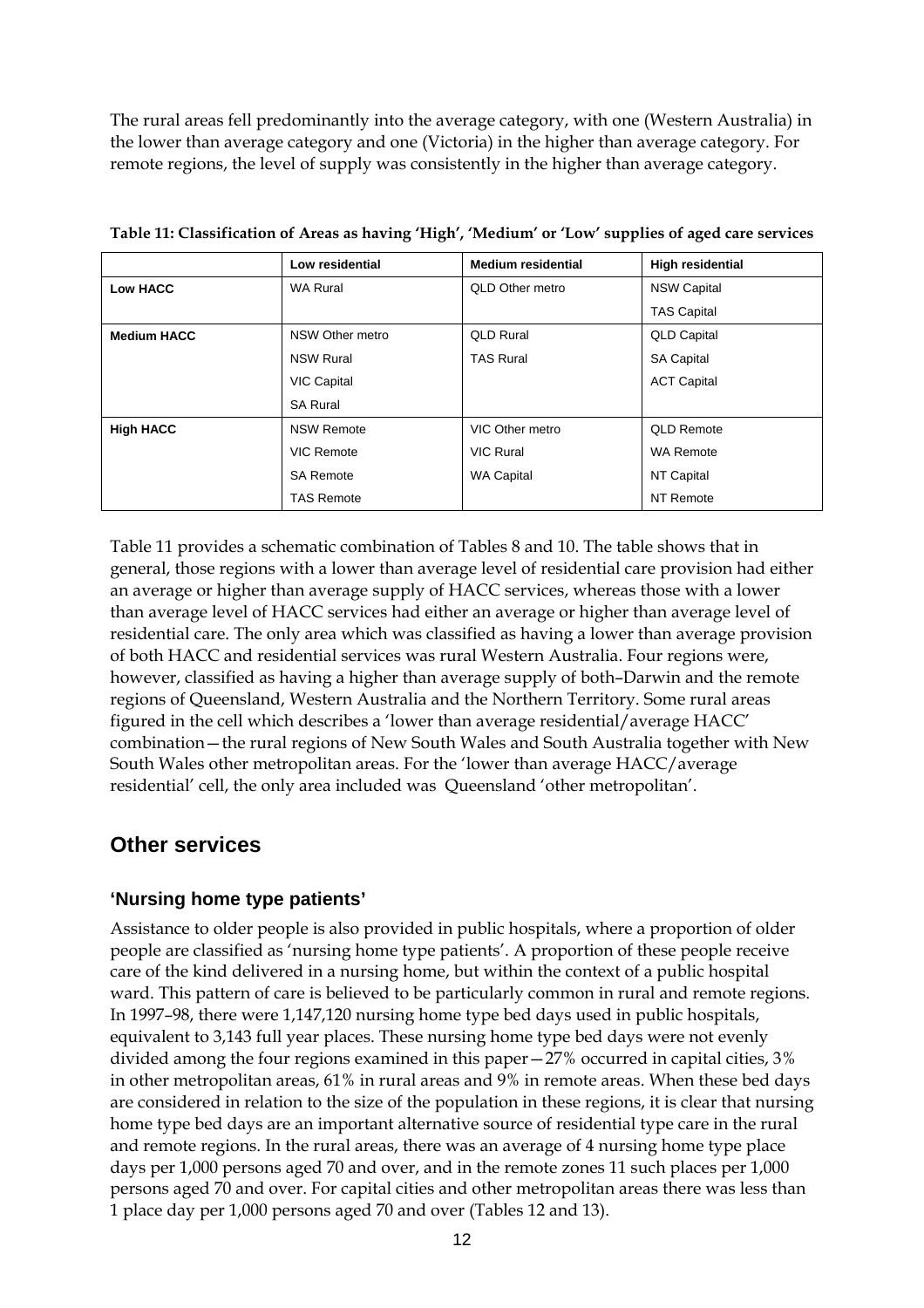The rural areas fell predominantly into the average category, with one (Western Australia) in the lower than average category and one (Victoria) in the higher than average category. For remote regions, the level of supply was consistently in the higher than average category.

|                    | Low residential    | <b>Medium residential</b> | <b>High residential</b> |
|--------------------|--------------------|---------------------------|-------------------------|
| <b>Low HACC</b>    | <b>WA Rural</b>    | QLD Other metro           | <b>NSW Capital</b>      |
|                    |                    |                           | <b>TAS Capital</b>      |
| <b>Medium HACC</b> | NSW Other metro    | <b>QLD Rural</b>          | <b>QLD Capital</b>      |
|                    | <b>NSW Rural</b>   | <b>TAS Rural</b>          | <b>SA Capital</b>       |
|                    | <b>VIC Capital</b> |                           | <b>ACT Capital</b>      |
|                    | <b>SA Rural</b>    |                           |                         |
| <b>High HACC</b>   | <b>NSW Remote</b>  | VIC Other metro           | <b>QLD Remote</b>       |
|                    | VIC Remote         | <b>VIC Rural</b>          | <b>WA Remote</b>        |
|                    | <b>SA Remote</b>   | <b>WA Capital</b>         | NT Capital              |
|                    | <b>TAS Remote</b>  |                           | NT Remote               |

**Table 11: Classification of Areas as having 'High', 'Medium' or 'Low' supplies of aged care services** 

Table 11 provides a schematic combination of Tables 8 and 10. The table shows that in general, those regions with a lower than average level of residential care provision had either an average or higher than average supply of HACC services, whereas those with a lower than average level of HACC services had either an average or higher than average level of residential care. The only area which was classified as having a lower than average provision of both HACC and residential services was rural Western Australia. Four regions were, however, classified as having a higher than average supply of both–Darwin and the remote regions of Queensland, Western Australia and the Northern Territory. Some rural areas figured in the cell which describes a 'lower than average residential/average HACC' combination—the rural regions of New South Wales and South Australia together with New South Wales other metropolitan areas. For the 'lower than average HACC/average residential' cell, the only area included was Queensland 'other metropolitan'.

### **Other services**

#### **'Nursing home type patients'**

Assistance to older people is also provided in public hospitals, where a proportion of older people are classified as 'nursing home type patients'. A proportion of these people receive care of the kind delivered in a nursing home, but within the context of a public hospital ward. This pattern of care is believed to be particularly common in rural and remote regions. In 1997–98, there were 1,147,120 nursing home type bed days used in public hospitals, equivalent to 3,143 full year places. These nursing home type bed days were not evenly divided among the four regions examined in this paper—27% occurred in capital cities, 3% in other metropolitan areas, 61% in rural areas and 9% in remote areas. When these bed days are considered in relation to the size of the population in these regions, it is clear that nursing home type bed days are an important alternative source of residential type care in the rural and remote regions. In the rural areas, there was an average of 4 nursing home type place days per 1,000 persons aged 70 and over, and in the remote zones 11 such places per 1,000 persons aged 70 and over. For capital cities and other metropolitan areas there was less than 1 place day per 1,000 persons aged 70 and over (Tables 12 and 13).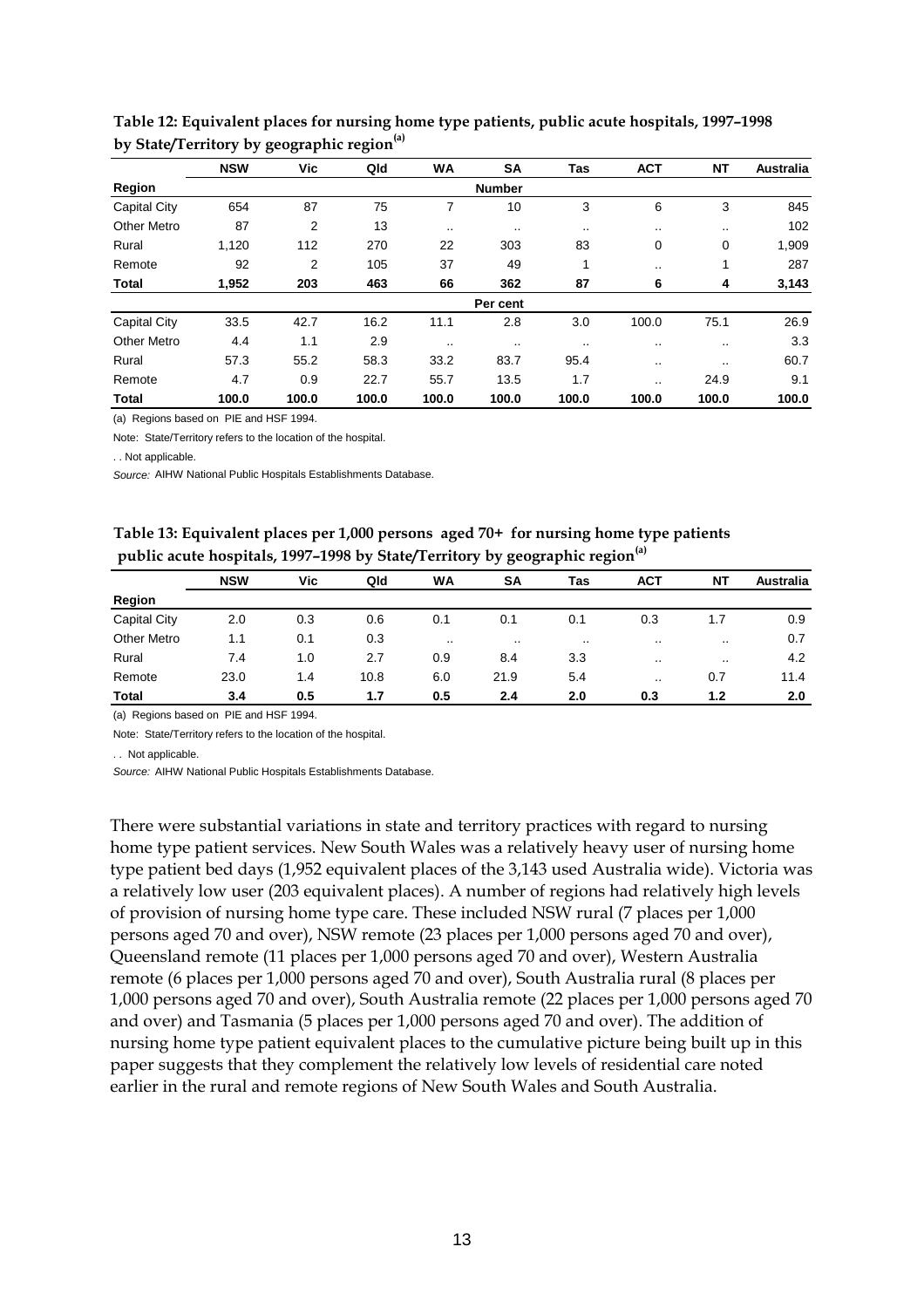|                     | <b>NSW</b> | Vic   | Qld   | WA      | <b>SA</b>     | <b>Tas</b> | <b>ACT</b> | <b>NT</b>     | <b>Australia</b> |
|---------------------|------------|-------|-------|---------|---------------|------------|------------|---------------|------------------|
| Region              |            |       |       |         | <b>Number</b> |            |            |               |                  |
| <b>Capital City</b> | 654        | 87    | 75    | 7       | 10            | 3          | 6          | 3             | 845              |
| Other Metro         | 87         | 2     | 13    | $\cdot$ | $\cdot$ .     |            |            | $\sim$ $\sim$ | 102              |
| Rural               | 1,120      | 112   | 270   | 22      | 303           | 83         | 0          | 0             | 1,909            |
| Remote              | 92         | 2     | 105   | 37      | 49            | 1          |            | 1             | 287              |
| Total               | 1,952      | 203   | 463   | 66      | 362           | 87         | 6          | 4             | 3,143            |
|                     |            |       |       |         | Per cent      |            |            |               |                  |
| <b>Capital City</b> | 33.5       | 42.7  | 16.2  | 11.1    | 2.8           | 3.0        | 100.0      | 75.1          | 26.9             |
| <b>Other Metro</b>  | 4.4        | 1.1   | 2.9   | $\cdot$ | $\sim$ $\sim$ |            |            | $\sim$ $\sim$ | 3.3              |
| Rural               | 57.3       | 55.2  | 58.3  | 33.2    | 83.7          | 95.4       |            | $\cdot$       | 60.7             |
| Remote              | 4.7        | 0.9   | 22.7  | 55.7    | 13.5          | 1.7        |            | 24.9          | 9.1              |
| Total               | 100.0      | 100.0 | 100.0 | 100.0   | 100.0         | 100.0      | 100.0      | 100.0         | 100.0            |

| Table 12: Equivalent places for nursing home type patients, public acute hospitals, 1997-1998 |
|-----------------------------------------------------------------------------------------------|
| by State/Territory by geographic region <sup>(a)</sup>                                        |

(a) Regions based on PIE and HSF 1994.

Note: State/Territory refers to the location of the hospital.

. . Not applicable.

*Source:* AIHW National Public Hospitals Establishments Database.

| Table 13: Equivalent places per 1,000 persons aged 70+ for nursing home type patients    |  |
|------------------------------------------------------------------------------------------|--|
| public acute hospitals, 1997-1998 by State/Territory by geographic region <sup>(a)</sup> |  |

|                     | <b>NSW</b> | Vic | Qld  | WA      | SA       | Tas     | <b>ACT</b>    | ΝT            | <b>Australia</b> |  |  |
|---------------------|------------|-----|------|---------|----------|---------|---------------|---------------|------------------|--|--|
| Region              |            |     |      |         |          |         |               |               |                  |  |  |
| <b>Capital City</b> | 2.0        | 0.3 | 0.6  | 0.1     | 0.1      | 0.1     | 0.3           | 1.7           | 0.9              |  |  |
| <b>Other Metro</b>  | 1.1        | 0.1 | 0.3  | $\cdot$ | $\cdots$ | $\cdot$ | $\sim$ $\sim$ | $\cdots$      | 0.7              |  |  |
| Rural               | 7.4        | 1.0 | 2.7  | 0.9     | 8.4      | 3.3     | $\sim$ $\sim$ | $\sim$ $\sim$ | 4.2              |  |  |
| Remote              | 23.0       | 1.4 | 10.8 | 6.0     | 21.9     | 5.4     | $\cdots$      | 0.7           | 11.4             |  |  |
| <b>Total</b>        | 3.4        | 0.5 | 1.7  | 0.5     | 2.4      | 2.0     | 0.3           | 1.2           | 2.0              |  |  |

(a) Regions based on PIE and HSF 1994.

Note: State/Territory refers to the location of the hospital.

. . Not applicable.

*Source:* AIHW National Public Hospitals Establishments Database.

There were substantial variations in state and territory practices with regard to nursing home type patient services. New South Wales was a relatively heavy user of nursing home type patient bed days (1,952 equivalent places of the 3,143 used Australia wide). Victoria was a relatively low user (203 equivalent places). A number of regions had relatively high levels of provision of nursing home type care. These included NSW rural (7 places per 1,000 persons aged 70 and over), NSW remote (23 places per 1,000 persons aged 70 and over), Queensland remote (11 places per 1,000 persons aged 70 and over), Western Australia remote (6 places per 1,000 persons aged 70 and over), South Australia rural (8 places per 1,000 persons aged 70 and over), South Australia remote (22 places per 1,000 persons aged 70 and over) and Tasmania (5 places per 1,000 persons aged 70 and over). The addition of nursing home type patient equivalent places to the cumulative picture being built up in this paper suggests that they complement the relatively low levels of residential care noted earlier in the rural and remote regions of New South Wales and South Australia.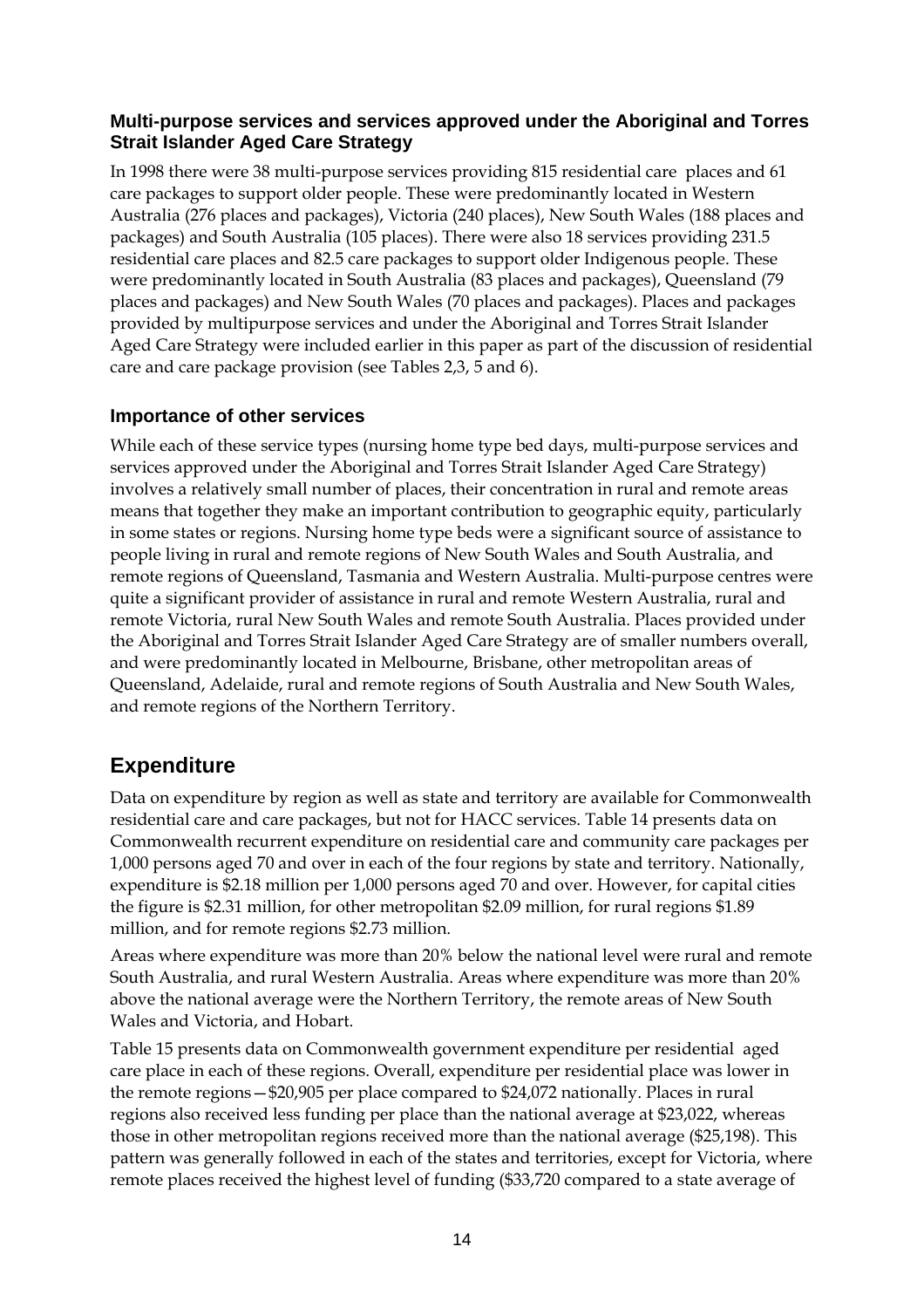#### **Multi-purpose services and services approved under the Aboriginal and Torres Strait Islander Aged Care Strategy**

In 1998 there were 38 multi-purpose services providing 815 residential care places and 61 care packages to support older people. These were predominantly located in Western Australia (276 places and packages), Victoria (240 places), New South Wales (188 places and packages) and South Australia (105 places). There were also 18 services providing 231.5 residential care places and 82.5 care packages to support older Indigenous people. These were predominantly located in South Australia (83 places and packages), Queensland (79 places and packages) and New South Wales (70 places and packages). Places and packages provided by multipurpose services and under the Aboriginal and Torres Strait Islander Aged Care Strategy were included earlier in this paper as part of the discussion of residential care and care package provision (see Tables 2,3, 5 and 6).

#### **Importance of other services**

While each of these service types (nursing home type bed days, multi-purpose services and services approved under the Aboriginal and Torres Strait Islander Aged Care Strategy) involves a relatively small number of places, their concentration in rural and remote areas means that together they make an important contribution to geographic equity, particularly in some states or regions. Nursing home type beds were a significant source of assistance to people living in rural and remote regions of New South Wales and South Australia, and remote regions of Queensland, Tasmania and Western Australia. Multi-purpose centres were quite a significant provider of assistance in rural and remote Western Australia, rural and remote Victoria, rural New South Wales and remote South Australia. Places provided under the Aboriginal and Torres Strait Islander Aged Care Strategy are of smaller numbers overall, and were predominantly located in Melbourne, Brisbane, other metropolitan areas of Queensland, Adelaide, rural and remote regions of South Australia and New South Wales, and remote regions of the Northern Territory.

### **Expenditure**

Data on expenditure by region as well as state and territory are available for Commonwealth residential care and care packages, but not for HACC services. Table 14 presents data on Commonwealth recurrent expenditure on residential care and community care packages per 1,000 persons aged 70 and over in each of the four regions by state and territory. Nationally, expenditure is \$2.18 million per 1,000 persons aged 70 and over. However, for capital cities the figure is \$2.31 million, for other metropolitan \$2.09 million, for rural regions \$1.89 million, and for remote regions \$2.73 million.

Areas where expenditure was more than 20% below the national level were rural and remote South Australia, and rural Western Australia. Areas where expenditure was more than 20% above the national average were the Northern Territory, the remote areas of New South Wales and Victoria, and Hobart.

Table 15 presents data on Commonwealth government expenditure per residential aged care place in each of these regions. Overall, expenditure per residential place was lower in the remote regions—\$20,905 per place compared to \$24,072 nationally. Places in rural regions also received less funding per place than the national average at \$23,022, whereas those in other metropolitan regions received more than the national average (\$25,198). This pattern was generally followed in each of the states and territories, except for Victoria, where remote places received the highest level of funding (\$33,720 compared to a state average of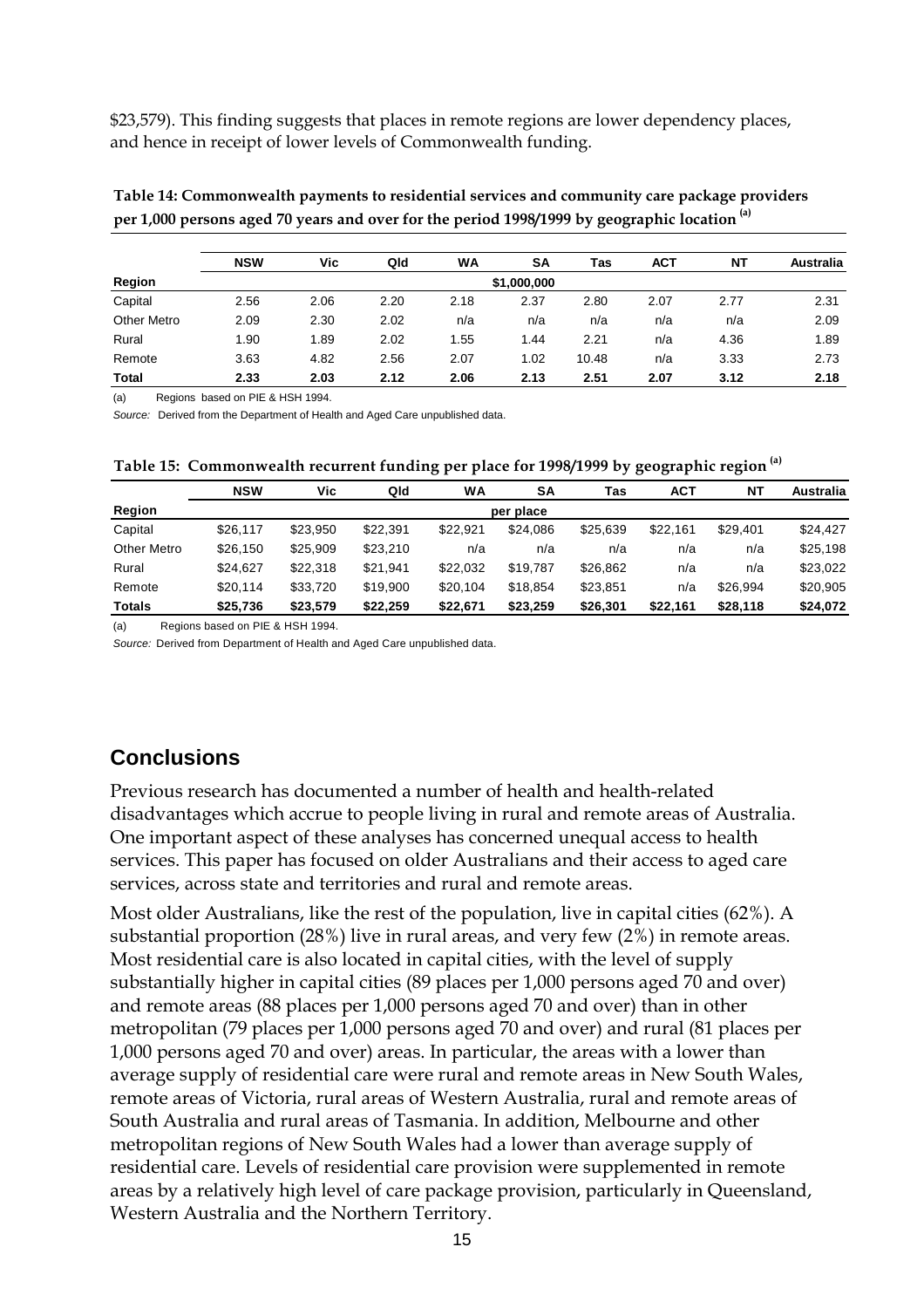\$23,579). This finding suggests that places in remote regions are lower dependency places, and hence in receipt of lower levels of Commonwealth funding.

|                    | <b>NSW</b>  | Vic  | Qld  | <b>WA</b> | <b>SA</b> | Tas   | <b>ACT</b> | <b>NT</b> | <b>Australia</b> |  |  |
|--------------------|-------------|------|------|-----------|-----------|-------|------------|-----------|------------------|--|--|
| Region             | \$1,000,000 |      |      |           |           |       |            |           |                  |  |  |
| Capital            | 2.56        | 2.06 | 2.20 | 2.18      | 2.37      | 2.80  | 2.07       | 2.77      | 2.31             |  |  |
| <b>Other Metro</b> | 2.09        | 2.30 | 2.02 | n/a       | n/a       | n/a   | n/a        | n/a       | 2.09             |  |  |
| Rural              | 1.90        | 1.89 | 2.02 | 1.55      | 1.44      | 2.21  | n/a        | 4.36      | 1.89             |  |  |
| Remote             | 3.63        | 4.82 | 2.56 | 2.07      | 1.02      | 10.48 | n/a        | 3.33      | 2.73             |  |  |

**Total 2.33 2.03 2.12 2.06 2.13 2.51 2.07 3.12 2.18**

**Table 14: Commonwealth payments to residential services and community care package providers per 1,000 persons aged 70 years and over for the period 1998/1999 by geographic location (a)**

(a) Regions based on PIE & HSH 1994.

*Source:* Derived from the Department of Health and Aged Care unpublished data.

**Table 15: Commonwealth recurrent funding per place for 1998/1999 by geographic region (a)**

|                    | <b>NSW</b> | Vic      | Qld      | WA       | SΑ        | Tas      | АСТ      | <b>NT</b> | <b>Australia</b> |
|--------------------|------------|----------|----------|----------|-----------|----------|----------|-----------|------------------|
| Region             |            |          |          |          | per place |          |          |           |                  |
| Capital            | \$26,117   | \$23.950 | \$22,391 | \$22.921 | \$24.086  | \$25,639 | \$22.161 | \$29.401  | \$24.427         |
| <b>Other Metro</b> | \$26,150   | \$25,909 | \$23,210 | n/a      | n/a       | n/a      | n/a      | n/a       | \$25,198         |
| Rural              | \$24.627   | \$22,318 | \$21,941 | \$22.032 | \$19.787  | \$26,862 | n/a      | n/a       | \$23,022         |
| Remote             | \$20,114   | \$33,720 | \$19,900 | \$20,104 | \$18.854  | \$23,851 | n/a      | \$26.994  | \$20,905         |
| <b>Totals</b>      | \$25,736   | \$23,579 | \$22,259 | \$22.671 | \$23.259  | \$26,301 | \$22,161 | \$28,118  | \$24,072         |

(a) Regions based on PIE & HSH 1994.

*Source:* Derived from Department of Health and Aged Care unpublished data.

# **Conclusions**

Previous research has documented a number of health and health-related disadvantages which accrue to people living in rural and remote areas of Australia. One important aspect of these analyses has concerned unequal access to health services. This paper has focused on older Australians and their access to aged care services, across state and territories and rural and remote areas.

Most older Australians, like the rest of the population, live in capital cities (62%). A substantial proportion (28%) live in rural areas, and very few (2%) in remote areas. Most residential care is also located in capital cities, with the level of supply substantially higher in capital cities (89 places per 1,000 persons aged 70 and over) and remote areas (88 places per 1,000 persons aged 70 and over) than in other metropolitan (79 places per 1,000 persons aged 70 and over) and rural (81 places per 1,000 persons aged 70 and over) areas. In particular, the areas with a lower than average supply of residential care were rural and remote areas in New South Wales, remote areas of Victoria, rural areas of Western Australia, rural and remote areas of South Australia and rural areas of Tasmania. In addition, Melbourne and other metropolitan regions of New South Wales had a lower than average supply of residential care. Levels of residential care provision were supplemented in remote areas by a relatively high level of care package provision, particularly in Queensland, Western Australia and the Northern Territory.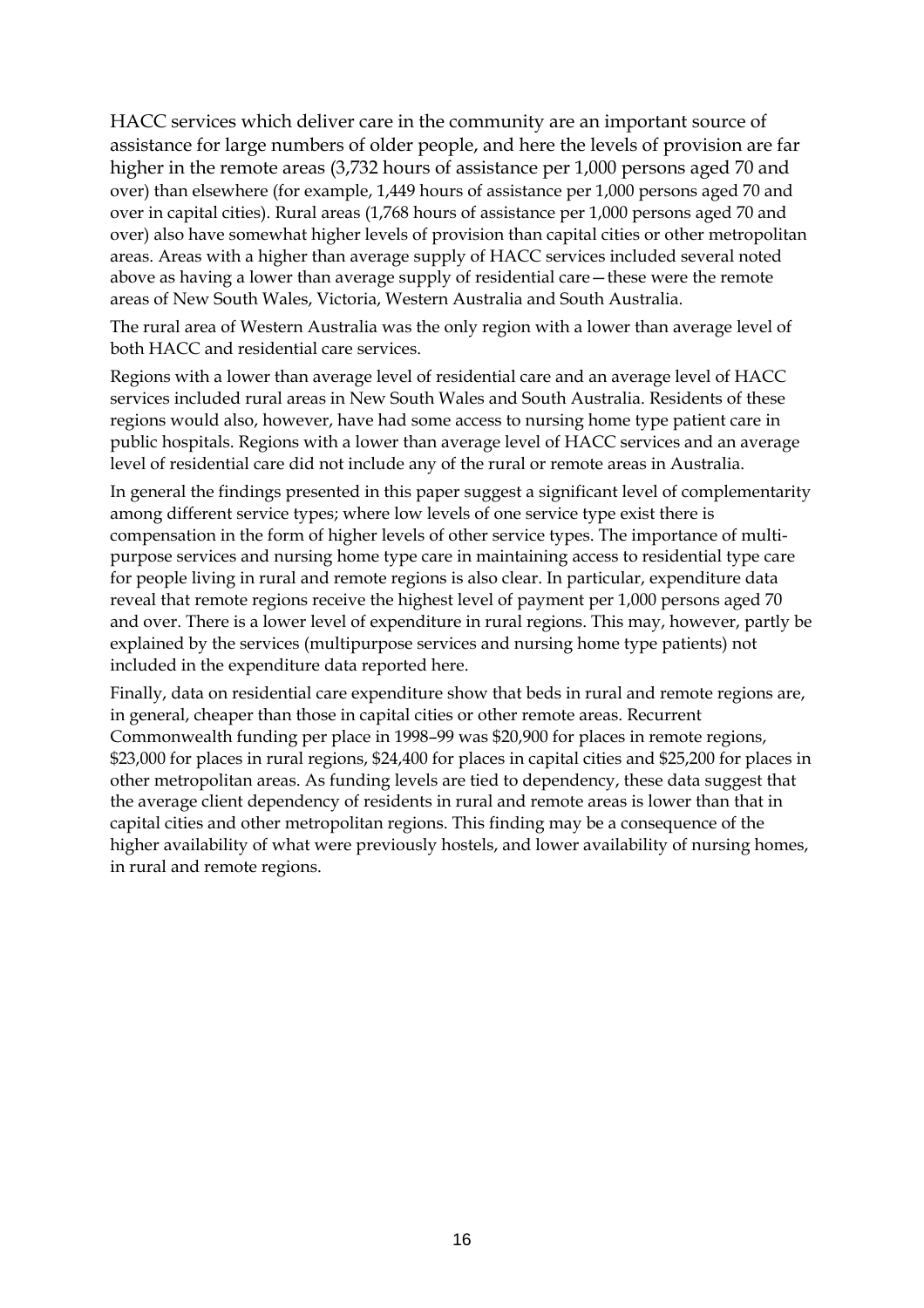HACC services which deliver care in the community are an important source of assistance for large numbers of older people, and here the levels of provision are far higher in the remote areas (3,732 hours of assistance per 1,000 persons aged 70 and over) than elsewhere (for example, 1,449 hours of assistance per 1,000 persons aged 70 and over in capital cities). Rural areas (1,768 hours of assistance per 1,000 persons aged 70 and over) also have somewhat higher levels of provision than capital cities or other metropolitan areas. Areas with a higher than average supply of HACC services included several noted above as having a lower than average supply of residential care—these were the remote areas of New South Wales, Victoria, Western Australia and South Australia.

The rural area of Western Australia was the only region with a lower than average level of both HACC and residential care services.

Regions with a lower than average level of residential care and an average level of HACC services included rural areas in New South Wales and South Australia. Residents of these regions would also, however, have had some access to nursing home type patient care in public hospitals. Regions with a lower than average level of HACC services and an average level of residential care did not include any of the rural or remote areas in Australia.

In general the findings presented in this paper suggest a significant level of complementarity among different service types; where low levels of one service type exist there is compensation in the form of higher levels of other service types. The importance of multipurpose services and nursing home type care in maintaining access to residential type care for people living in rural and remote regions is also clear. In particular, expenditure data reveal that remote regions receive the highest level of payment per 1,000 persons aged 70 and over. There is a lower level of expenditure in rural regions. This may, however, partly be explained by the services (multipurpose services and nursing home type patients) not included in the expenditure data reported here.

Finally, data on residential care expenditure show that beds in rural and remote regions are, in general, cheaper than those in capital cities or other remote areas. Recurrent Commonwealth funding per place in 1998–99 was \$20,900 for places in remote regions, \$23,000 for places in rural regions, \$24,400 for places in capital cities and \$25,200 for places in other metropolitan areas. As funding levels are tied to dependency, these data suggest that the average client dependency of residents in rural and remote areas is lower than that in capital cities and other metropolitan regions. This finding may be a consequence of the higher availability of what were previously hostels, and lower availability of nursing homes, in rural and remote regions.